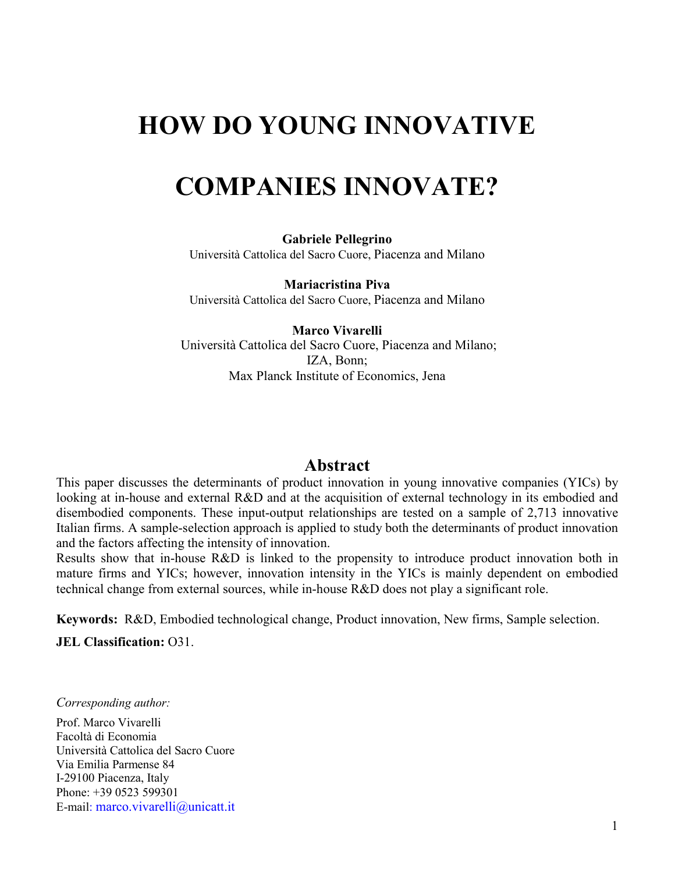# **HOW DO YOUNG INNOVATIVE**

# **COMPANIES INNOVATE?**

**Gabriele Pellegrino**  Università Cattolica del Sacro Cuore, Piacenza and Milano

**Mariacristina Piva**  Università Cattolica del Sacro Cuore, Piacenza and Milano

**Marco Vivarelli**  Università Cattolica del Sacro Cuore, Piacenza and Milano; IZA, Bonn; Max Planck Institute of Economics, Jena

### **Abstract**

This paper discusses the determinants of product innovation in young innovative companies (YICs) by looking at in-house and external R&D and at the acquisition of external technology in its embodied and disembodied components. These input-output relationships are tested on a sample of 2,713 innovative Italian firms. A sample-selection approach is applied to study both the determinants of product innovation and the factors affecting the intensity of innovation.

Results show that in-house R&D is linked to the propensity to introduce product innovation both in mature firms and YICs; however, innovation intensity in the YICs is mainly dependent on embodied technical change from external sources, while in-house R&D does not play a significant role.

**Keywords:** R&D, Embodied technological change, Product innovation, New firms, Sample selection.

**JEL Classification:** O31.

*Corresponding author:* 

Prof. Marco Vivarelli Facoltà di Economia Università Cattolica del Sacro Cuore Via Emilia Parmense 84 I-29100 Piacenza, Italy Phone: +39 0523 599301 E-mail: [marco.vivarelli@unicatt.it](mailto:marco.vivarelli@unicatt.it)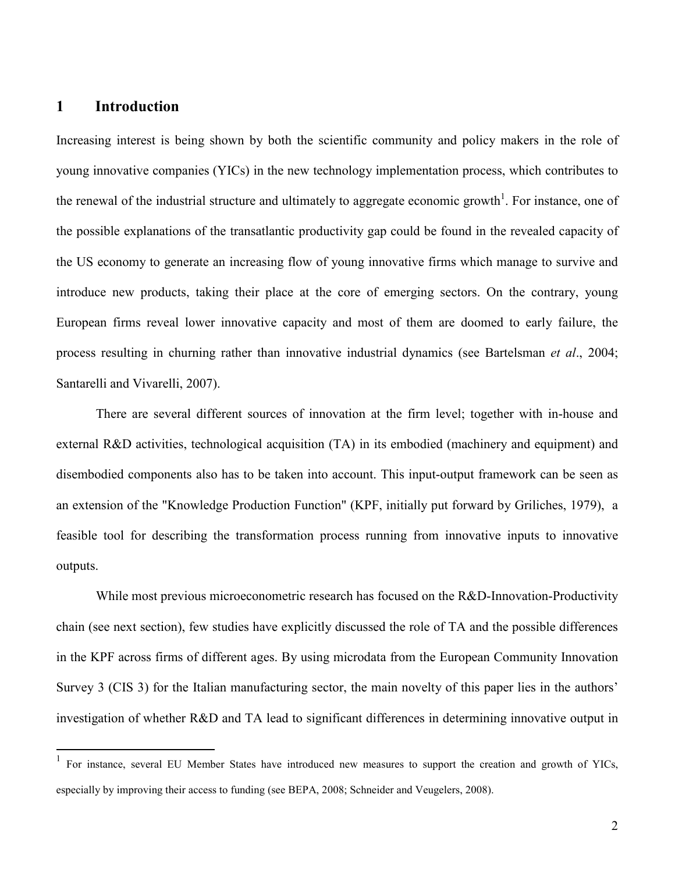#### **1 Introduction**

 $\overline{a}$ 

Increasing interest is being shown by both the scientific community and policy makers in the role of young innovative companies (YICs) in the new technology implementation process, which contributes to the renewal of the industrial structure and ultimately to aggregate economic growth<sup>1</sup>. For instance, one of the possible explanations of the transatlantic productivity gap could be found in the revealed capacity of the US economy to generate an increasing flow of young innovative firms which manage to survive and introduce new products, taking their place at the core of emerging sectors. On the contrary, young European firms reveal lower innovative capacity and most of them are doomed to early failure, the process resulting in churning rather than innovative industrial dynamics (see Bartelsman *et al*., 2004; Santarelli and Vivarelli, 2007).

There are several different sources of innovation at the firm level; together with in-house and external R&D activities, technological acquisition (TA) in its embodied (machinery and equipment) and disembodied components also has to be taken into account. This input-output framework can be seen as an extension of the "Knowledge Production Function" (KPF, initially put forward by Griliches, 1979), a feasible tool for describing the transformation process running from innovative inputs to innovative outputs.

While most previous microeconometric research has focused on the R&D-Innovation-Productivity chain (see next section), few studies have explicitly discussed the role of TA and the possible differences in the KPF across firms of different ages. By using microdata from the European Community Innovation Survey 3 (CIS 3) for the Italian manufacturing sector, the main novelty of this paper lies in the authors' investigation of whether R&D and TA lead to significant differences in determining innovative output in

<sup>1</sup> For instance, several EU Member States have introduced new measures to support the creation and growth of YICs, especially by improving their access to funding (see BEPA, 2008; Schneider and Veugelers, 2008).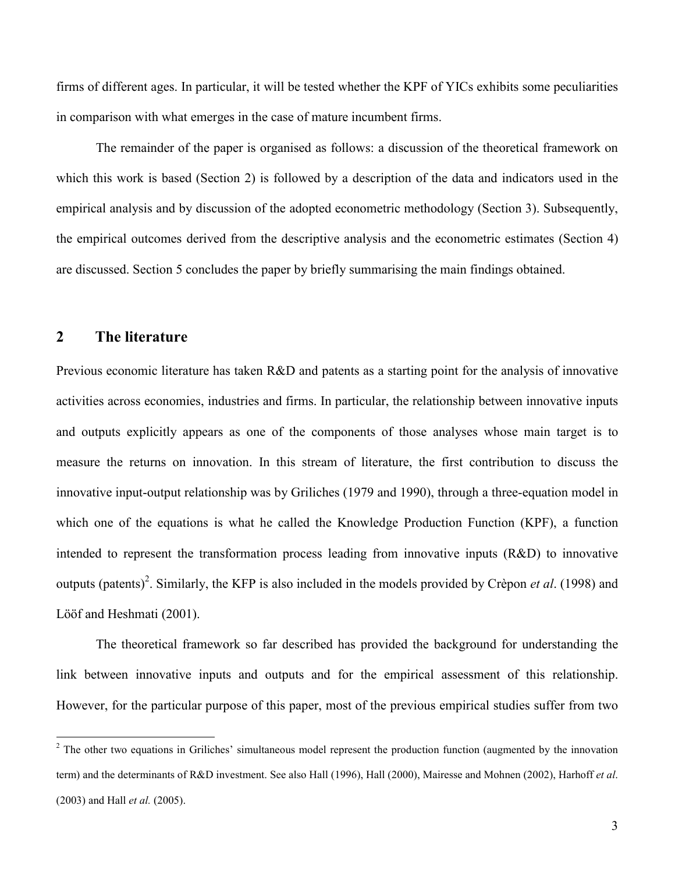firms of different ages. In particular, it will be tested whether the KPF of YICs exhibits some peculiarities in comparison with what emerges in the case of mature incumbent firms.

The remainder of the paper is organised as follows: a discussion of the theoretical framework on which this work is based (Section 2) is followed by a description of the data and indicators used in the empirical analysis and by discussion of the adopted econometric methodology (Section 3). Subsequently, the empirical outcomes derived from the descriptive analysis and the econometric estimates (Section 4) are discussed. Section 5 concludes the paper by briefly summarising the main findings obtained.

#### **2 The literature**

Previous economic literature has taken R&D and patents as a starting point for the analysis of innovative activities across economies, industries and firms. In particular, the relationship between innovative inputs and outputs explicitly appears as one of the components of those analyses whose main target is to measure the returns on innovation. In this stream of literature, the first contribution to discuss the innovative input-output relationship was by Griliches (1979 and 1990), through a three-equation model in which one of the equations is what he called the Knowledge Production Function (KPF), a function intended to represent the transformation process leading from innovative inputs (R&D) to innovative outputs (patents)<sup>2</sup>. Similarly, the KFP is also included in the models provided by Crèpon *et al.* (1998) and Lööf and Heshmati (2001).

The theoretical framework so far described has provided the background for understanding the link between innovative inputs and outputs and for the empirical assessment of this relationship. However, for the particular purpose of this paper, most of the previous empirical studies suffer from two

<sup>&</sup>lt;sup>2</sup> The other two equations in Griliches' simultaneous model represent the production function (augmented by the innovation term) and the determinants of R&D investment. See also Hall (1996), Hall (2000), Mairesse and Mohnen (2002), Harhoff *et al*. (2003) and Hall *et al.* (2005).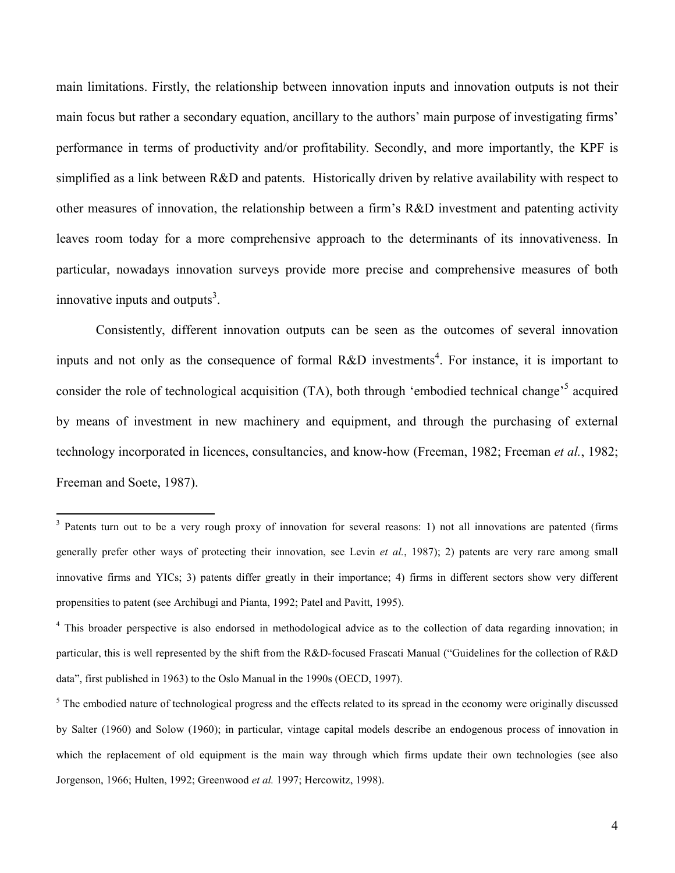main limitations. Firstly, the relationship between innovation inputs and innovation outputs is not their main focus but rather a secondary equation, ancillary to the authors' main purpose of investigating firms' performance in terms of productivity and/or profitability. Secondly, and more importantly, the KPF is simplified as a link between R&D and patents. Historically driven by relative availability with respect to other measures of innovation, the relationship between a firm's R&D investment and patenting activity leaves room today for a more comprehensive approach to the determinants of its innovativeness. In particular, nowadays innovation surveys provide more precise and comprehensive measures of both innovative inputs and outputs $3$ .

Consistently, different innovation outputs can be seen as the outcomes of several innovation inputs and not only as the consequence of formal R&D investments<sup>4</sup>. For instance, it is important to consider the role of technological acquisition (TA), both through 'embodied technical change'<sup>5</sup> acquired by means of investment in new machinery and equipment, and through the purchasing of external technology incorporated in licences, consultancies, and know-how (Freeman, 1982; Freeman *et al.*, 1982; Freeman and Soete, 1987).

 $\overline{a}$ 

<sup>&</sup>lt;sup>3</sup> Patents turn out to be a very rough proxy of innovation for several reasons: 1) not all innovations are patented (firms generally prefer other ways of protecting their innovation, see Levin *et al.*, 1987); 2) patents are very rare among small innovative firms and YICs; 3) patents differ greatly in their importance; 4) firms in different sectors show very different propensities to patent (see Archibugi and Pianta, 1992; Patel and Pavitt, 1995).

<sup>&</sup>lt;sup>4</sup> This broader perspective is also endorsed in methodological advice as to the collection of data regarding innovation; in particular, this is well represented by the shift from the R&D-focused Frascati Manual ("Guidelines for the collection of R&D data", first published in 1963) to the Oslo Manual in the 1990s (OECD, 1997).

<sup>&</sup>lt;sup>5</sup> The embodied nature of technological progress and the effects related to its spread in the economy were originally discussed by Salter (1960) and Solow (1960); in particular, vintage capital models describe an endogenous process of innovation in which the replacement of old equipment is the main way through which firms update their own technologies (see also Jorgenson, 1966; Hulten, 1992; Greenwood *et al.* 1997; Hercowitz, 1998).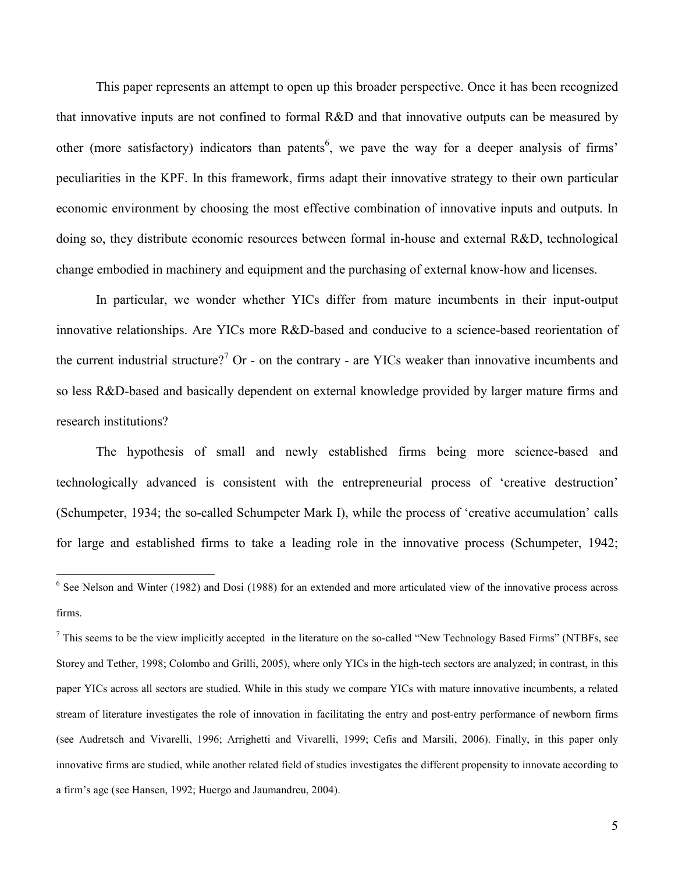This paper represents an attempt to open up this broader perspective. Once it has been recognized that innovative inputs are not confined to formal R&D and that innovative outputs can be measured by other (more satisfactory) indicators than patents<sup>6</sup>, we pave the way for a deeper analysis of firms' peculiarities in the KPF. In this framework, firms adapt their innovative strategy to their own particular economic environment by choosing the most effective combination of innovative inputs and outputs. In doing so, they distribute economic resources between formal in-house and external R&D, technological change embodied in machinery and equipment and the purchasing of external know-how and licenses.

In particular, we wonder whether YICs differ from mature incumbents in their input-output innovative relationships. Are YICs more R&D-based and conducive to a science-based reorientation of the current industrial structure?<sup>7</sup> Or - on the contrary - are YICs weaker than innovative incumbents and so less R&D-based and basically dependent on external knowledge provided by larger mature firms and research institutions?

The hypothesis of small and newly established firms being more science-based and technologically advanced is consistent with the entrepreneurial process of 'creative destruction' (Schumpeter, 1934; the so-called Schumpeter Mark I), while the process of 'creative accumulation' calls for large and established firms to take a leading role in the innovative process (Schumpeter, 1942;

<sup>&</sup>lt;sup>6</sup> See Nelson and Winter (1982) and Dosi (1988) for an extended and more articulated view of the innovative process across firms.

 $<sup>7</sup>$  This seems to be the view implicitly accepted in the literature on the so-called "New Technology Based Firms" (NTBFs, see</sup> Storey and Tether, 1998; Colombo and Grilli, 2005), where only YICs in the high-tech sectors are analyzed; in contrast, in this paper YICs across all sectors are studied. While in this study we compare YICs with mature innovative incumbents, a related stream of literature investigates the role of innovation in facilitating the entry and post-entry performance of newborn firms (see Audretsch and Vivarelli, 1996; Arrighetti and Vivarelli, 1999; Cefis and Marsili, 2006). Finally, in this paper only innovative firms are studied, while another related field of studies investigates the different propensity to innovate according to a firm's age (see Hansen, 1992; Huergo and Jaumandreu, 2004).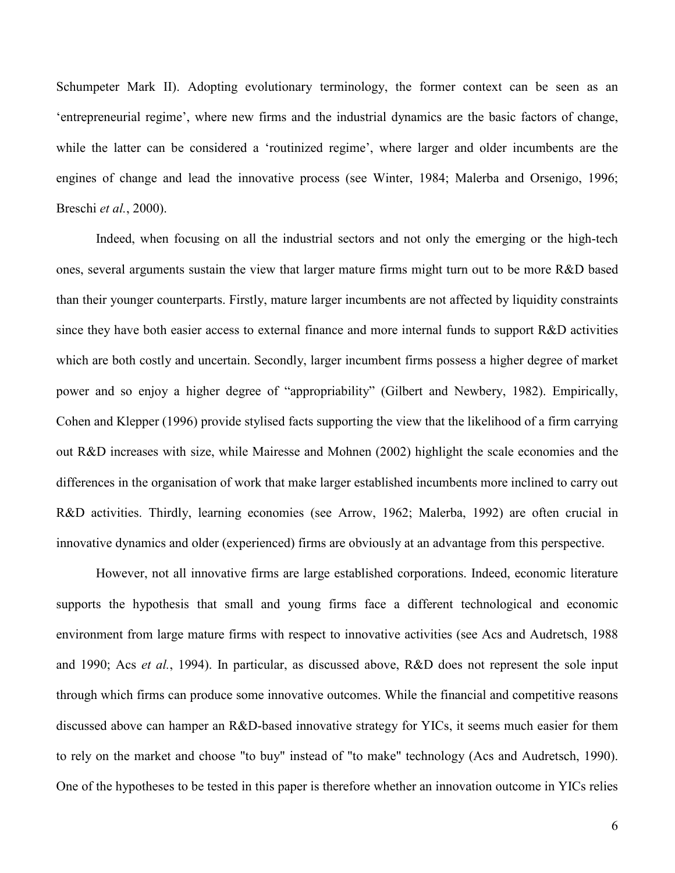Schumpeter Mark II). Adopting evolutionary terminology, the former context can be seen as an 'entrepreneurial regime', where new firms and the industrial dynamics are the basic factors of change, while the latter can be considered a 'routinized regime', where larger and older incumbents are the engines of change and lead the innovative process (see Winter, 1984; Malerba and Orsenigo, 1996; Breschi *et al.*, 2000).

Indeed, when focusing on all the industrial sectors and not only the emerging or the high-tech ones, several arguments sustain the view that larger mature firms might turn out to be more R&D based than their younger counterparts. Firstly, mature larger incumbents are not affected by liquidity constraints since they have both easier access to external finance and more internal funds to support R&D activities which are both costly and uncertain. Secondly, larger incumbent firms possess a higher degree of market power and so enjoy a higher degree of "appropriability" (Gilbert and Newbery, 1982). Empirically, Cohen and Klepper (1996) provide stylised facts supporting the view that the likelihood of a firm carrying out R&D increases with size, while Mairesse and Mohnen (2002) highlight the scale economies and the differences in the organisation of work that make larger established incumbents more inclined to carry out R&D activities. Thirdly, learning economies (see Arrow, 1962; Malerba, 1992) are often crucial in innovative dynamics and older (experienced) firms are obviously at an advantage from this perspective.

However, not all innovative firms are large established corporations. Indeed, economic literature supports the hypothesis that small and young firms face a different technological and economic environment from large mature firms with respect to innovative activities (see Acs and Audretsch, 1988 and 1990; Acs *et al.*, 1994). In particular, as discussed above, R&D does not represent the sole input through which firms can produce some innovative outcomes. While the financial and competitive reasons discussed above can hamper an R&D-based innovative strategy for YICs, it seems much easier for them to rely on the market and choose "to buy" instead of "to make" technology (Acs and Audretsch, 1990). One of the hypotheses to be tested in this paper is therefore whether an innovation outcome in YICs relies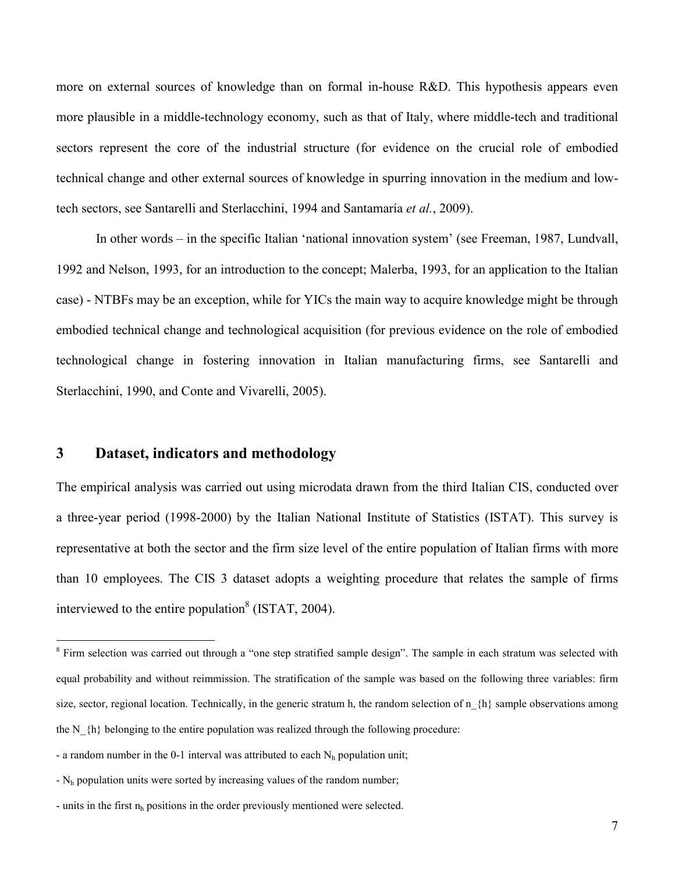more on external sources of knowledge than on formal in-house R&D. This hypothesis appears even more plausible in a middle-technology economy, such as that of Italy, where middle-tech and traditional sectors represent the core of the industrial structure (for evidence on the crucial role of embodied technical change and other external sources of knowledge in spurring innovation in the medium and lowtech sectors, see Santarelli and Sterlacchini, 1994 and Santamaría *et al.*, 2009).

In other words – in the specific Italian 'national innovation system' (see Freeman, 1987, Lundvall, 1992 and Nelson, 1993, for an introduction to the concept; Malerba, 1993, for an application to the Italian case) - NTBFs may be an exception, while for YICs the main way to acquire knowledge might be through embodied technical change and technological acquisition (for previous evidence on the role of embodied technological change in fostering innovation in Italian manufacturing firms, see Santarelli and Sterlacchini, 1990, and Conte and Vivarelli, 2005).

### **3 Dataset, indicators and methodology**

 $\overline{a}$ 

The empirical analysis was carried out using microdata drawn from the third Italian CIS, conducted over a three-year period (1998-2000) by the Italian National Institute of Statistics (ISTAT). This survey is representative at both the sector and the firm size level of the entire population of Italian firms with more than 10 employees. The CIS 3 dataset adopts a weighting procedure that relates the sample of firms interviewed to the entire population<sup>8</sup> (ISTAT, 2004).

<sup>&</sup>lt;sup>8</sup> Firm selection was carried out through a "one step stratified sample design". The sample in each stratum was selected with equal probability and without reimmission. The stratification of the sample was based on the following three variables: firm size, sector, regional location. Technically, in the generic stratum h, the random selection of  $n_{h}$  sample observations among the N  $\{h\}$  belonging to the entire population was realized through the following procedure:

<sup>-</sup> a random number in the 0-1 interval was attributed to each  $N<sub>b</sub>$  population unit;

 $-N<sub>h</sub>$  population units were sorted by increasing values of the random number;

<sup>-</sup> units in the first  $n_h$  positions in the order previously mentioned were selected.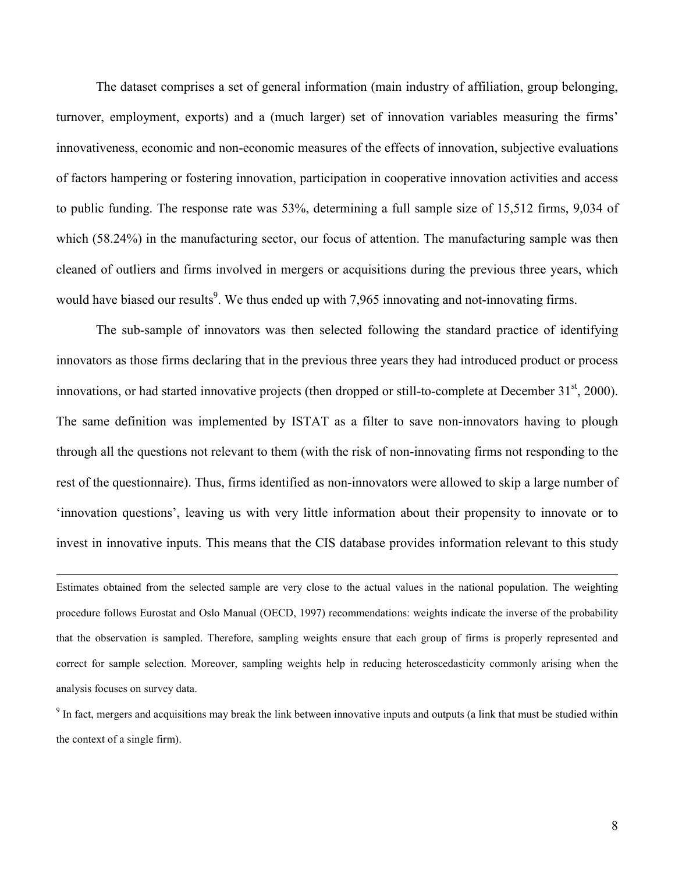The dataset comprises a set of general information (main industry of affiliation, group belonging, turnover, employment, exports) and a (much larger) set of innovation variables measuring the firms' innovativeness, economic and non-economic measures of the effects of innovation, subjective evaluations of factors hampering or fostering innovation, participation in cooperative innovation activities and access to public funding. The response rate was 53%, determining a full sample size of 15,512 firms, 9,034 of which (58.24%) in the manufacturing sector, our focus of attention. The manufacturing sample was then cleaned of outliers and firms involved in mergers or acquisitions during the previous three years, which would have biased our results<sup>9</sup>. We thus ended up with 7,965 innovating and not-innovating firms.

The sub-sample of innovators was then selected following the standard practice of identifying innovators as those firms declaring that in the previous three years they had introduced product or process innovations, or had started innovative projects (then dropped or still-to-complete at December  $31<sup>st</sup>$ , 2000). The same definition was implemented by ISTAT as a filter to save non-innovators having to plough through all the questions not relevant to them (with the risk of non-innovating firms not responding to the rest of the questionnaire). Thus, firms identified as non-innovators were allowed to skip a large number of 'innovation questions', leaving us with very little information about their propensity to innovate or to invest in innovative inputs. This means that the CIS database provides information relevant to this study

Estimates obtained from the selected sample are very close to the actual values in the national population. The weighting procedure follows Eurostat and Oslo Manual (OECD, 1997) recommendations: weights indicate the inverse of the probability that the observation is sampled. Therefore, sampling weights ensure that each group of firms is properly represented and correct for sample selection. Moreover, sampling weights help in reducing heteroscedasticity commonly arising when the analysis focuses on survey data.

 $\overline{a}$ 

<sup>9</sup> In fact, mergers and acquisitions may break the link between innovative inputs and outputs (a link that must be studied within the context of a single firm).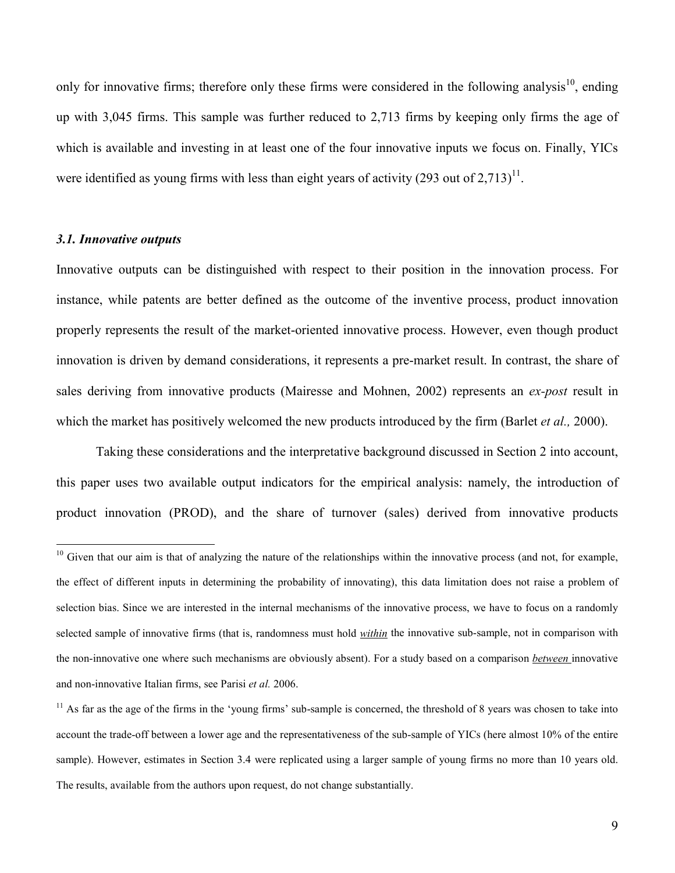only for innovative firms; therefore only these firms were considered in the following analysis<sup>10</sup>, ending up with 3,045 firms. This sample was further reduced to 2,713 firms by keeping only firms the age of which is available and investing in at least one of the four innovative inputs we focus on. Finally, YICs were identified as young firms with less than eight years of activity  $(293 \text{ out of } 2,713)^{11}$ .

#### *3.1. Innovative outputs*

 $\overline{a}$ 

Innovative outputs can be distinguished with respect to their position in the innovation process. For instance, while patents are better defined as the outcome of the inventive process, product innovation properly represents the result of the market-oriented innovative process. However, even though product innovation is driven by demand considerations, it represents a pre-market result. In contrast, the share of sales deriving from innovative products (Mairesse and Mohnen, 2002) represents an *ex-post* result in which the market has positively welcomed the new products introduced by the firm (Barlet *et al.,* 2000).

Taking these considerations and the interpretative background discussed in Section 2 into account, this paper uses two available output indicators for the empirical analysis: namely, the introduction of product innovation (PROD), and the share of turnover (sales) derived from innovative products

<sup>&</sup>lt;sup>10</sup> Given that our aim is that of analyzing the nature of the relationships within the innovative process (and not, for example, the effect of different inputs in determining the probability of innovating), this data limitation does not raise a problem of selection bias. Since we are interested in the internal mechanisms of the innovative process, we have to focus on a randomly selected sample of innovative firms (that is, randomness must hold *within* the innovative sub-sample, not in comparison with the non-innovative one where such mechanisms are obviously absent). For a study based on a comparison *between* innovative and non-innovative Italian firms, see Parisi *et al.* 2006.

<sup>&</sup>lt;sup>11</sup> As far as the age of the firms in the 'young firms' sub-sample is concerned, the threshold of 8 years was chosen to take into account the trade-off between a lower age and the representativeness of the sub-sample of YICs (here almost 10% of the entire sample). However, estimates in Section 3.4 were replicated using a larger sample of young firms no more than 10 years old. The results, available from the authors upon request, do not change substantially.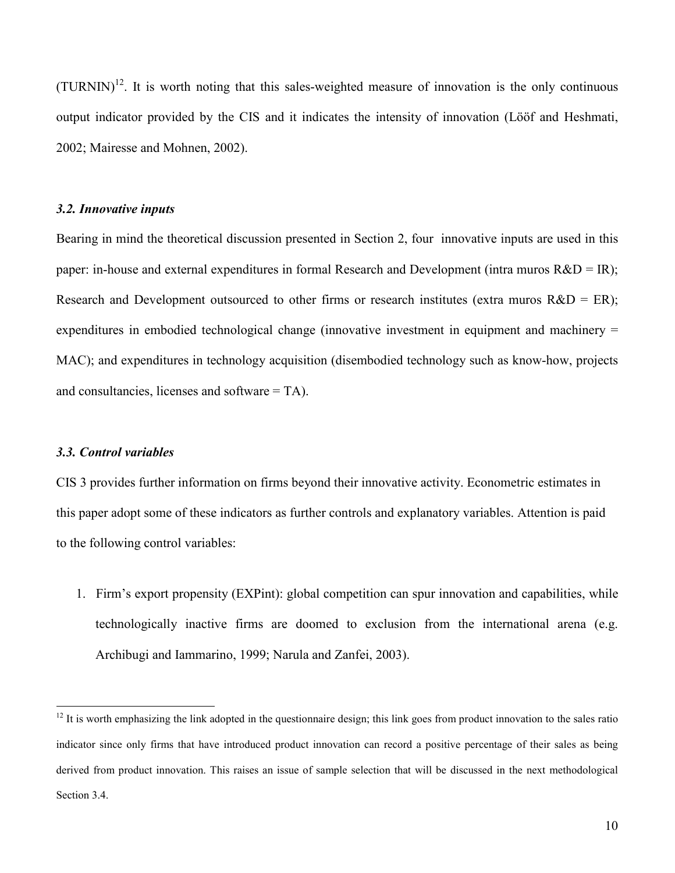$(TURNIN)^{12}$ . It is worth noting that this sales-weighted measure of innovation is the only continuous output indicator provided by the CIS and it indicates the intensity of innovation (Lööf and Heshmati, 2002; Mairesse and Mohnen, 2002).

#### *3.2. Innovative inputs*

Bearing in mind the theoretical discussion presented in Section 2, four innovative inputs are used in this paper: in-house and external expenditures in formal Research and Development (intra muros R&D = IR); Research and Development outsourced to other firms or research institutes (extra muros  $R&D = ER$ ); expenditures in embodied technological change (innovative investment in equipment and machinery = MAC); and expenditures in technology acquisition (disembodied technology such as know-how, projects and consultancies, licenses and software = TA).

#### *3.3. Control variables*

 $\overline{a}$ 

CIS 3 provides further information on firms beyond their innovative activity. Econometric estimates in this paper adopt some of these indicators as further controls and explanatory variables. Attention is paid to the following control variables:

1. Firm's export propensity (EXPint): global competition can spur innovation and capabilities, while technologically inactive firms are doomed to exclusion from the international arena (e.g. Archibugi and Iammarino, 1999; Narula and Zanfei, 2003).

 $12$  It is worth emphasizing the link adopted in the questionnaire design; this link goes from product innovation to the sales ratio indicator since only firms that have introduced product innovation can record a positive percentage of their sales as being derived from product innovation. This raises an issue of sample selection that will be discussed in the next methodological Section 3.4.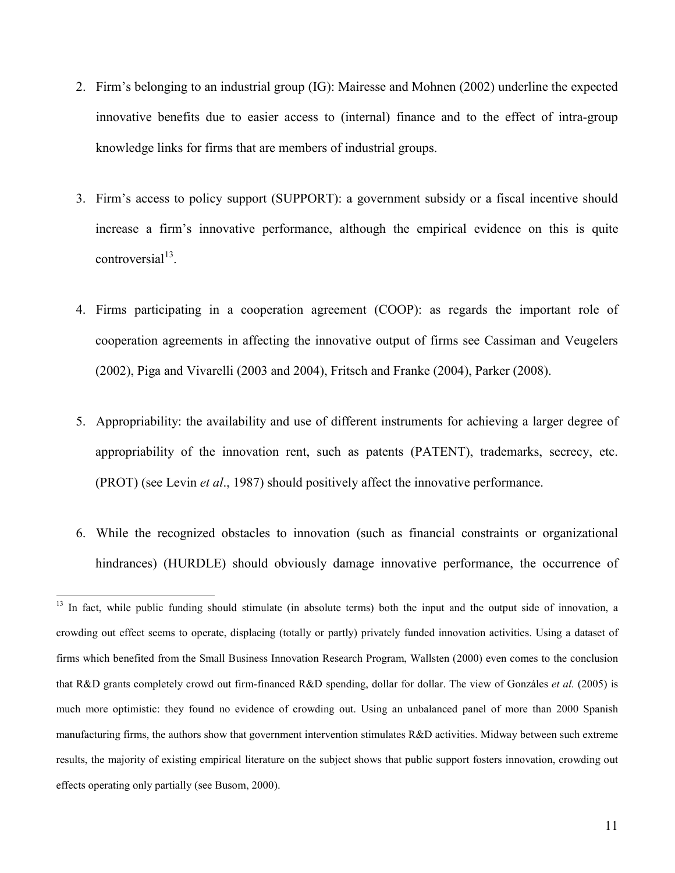- 2. Firm's belonging to an industrial group (IG): Mairesse and Mohnen (2002) underline the expected innovative benefits due to easier access to (internal) finance and to the effect of intra-group knowledge links for firms that are members of industrial groups.
- 3. Firm's access to policy support (SUPPORT): a government subsidy or a fiscal incentive should increase a firm's innovative performance, although the empirical evidence on this is quite  $control<sup>13</sup>$ .
- 4. Firms participating in a cooperation agreement (COOP): as regards the important role of cooperation agreements in affecting the innovative output of firms see Cassiman and Veugelers (2002), Piga and Vivarelli (2003 and 2004), Fritsch and Franke (2004), Parker (2008).
- 5. Appropriability: the availability and use of different instruments for achieving a larger degree of appropriability of the innovation rent, such as patents (PATENT), trademarks, secrecy, etc. (PROT) (see Levin *et al*., 1987) should positively affect the innovative performance.
- 6. While the recognized obstacles to innovation (such as financial constraints or organizational hindrances) (HURDLE) should obviously damage innovative performance, the occurrence of

 $\overline{a}$ 

<sup>&</sup>lt;sup>13</sup> In fact, while public funding should stimulate (in absolute terms) both the input and the output side of innovation, a crowding out effect seems to operate, displacing (totally or partly) privately funded innovation activities. Using a dataset of firms which benefited from the Small Business Innovation Research Program, Wallsten (2000) even comes to the conclusion that R&D grants completely crowd out firm-financed R&D spending, dollar for dollar. The view of Gonzáles *et al.* (2005) is much more optimistic: they found no evidence of crowding out. Using an unbalanced panel of more than 2000 Spanish manufacturing firms, the authors show that government intervention stimulates R&D activities. Midway between such extreme results, the majority of existing empirical literature on the subject shows that public support fosters innovation, crowding out effects operating only partially (see Busom, 2000).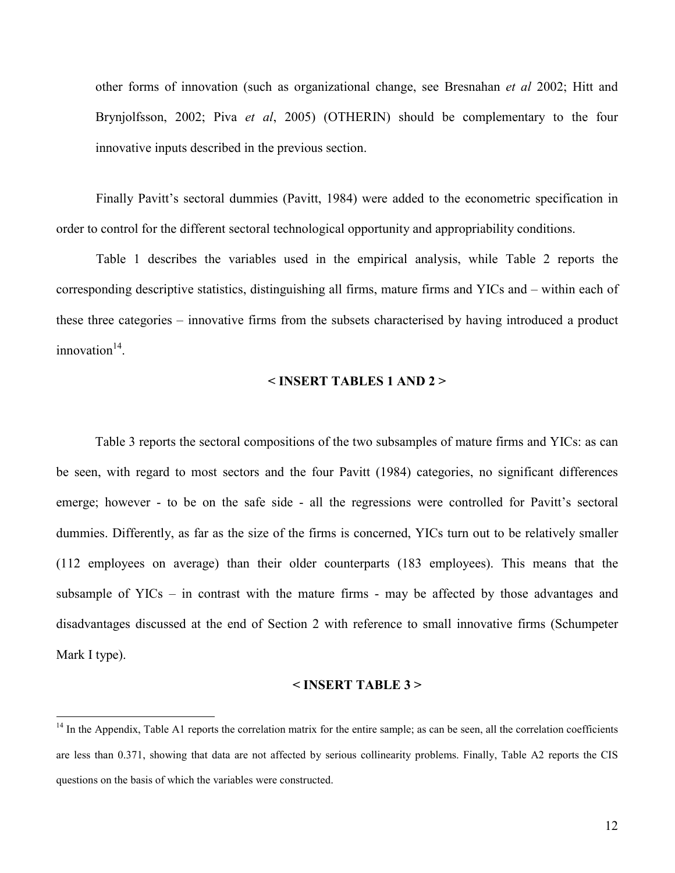other forms of innovation (such as organizational change, see Bresnahan *et al* 2002; Hitt and Brynjolfsson, 2002; Piva *et al*, 2005) (OTHERIN) should be complementary to the four innovative inputs described in the previous section.

Finally Pavitt's sectoral dummies (Pavitt, 1984) were added to the econometric specification in order to control for the different sectoral technological opportunity and appropriability conditions.

Table 1 describes the variables used in the empirical analysis, while Table 2 reports the corresponding descriptive statistics, distinguishing all firms, mature firms and YICs and – within each of these three categories – innovative firms from the subsets characterised by having introduced a product  $innovation<sup>14</sup>$ .

#### **< INSERT TABLES 1 AND 2 >**

Table 3 reports the sectoral compositions of the two subsamples of mature firms and YICs: as can be seen, with regard to most sectors and the four Pavitt (1984) categories, no significant differences emerge; however - to be on the safe side - all the regressions were controlled for Pavitt's sectoral dummies. Differently, as far as the size of the firms is concerned, YICs turn out to be relatively smaller (112 employees on average) than their older counterparts (183 employees). This means that the subsample of YICs – in contrast with the mature firms - may be affected by those advantages and disadvantages discussed at the end of Section 2 with reference to small innovative firms (Schumpeter Mark I type).

#### **< INSERT TABLE 3 >**

 $\overline{a}$ 

 $<sup>14</sup>$  In the Appendix, Table A1 reports the correlation matrix for the entire sample; as can be seen, all the correlation coefficients</sup> are less than 0.371, showing that data are not affected by serious collinearity problems. Finally, Table A2 reports the CIS questions on the basis of which the variables were constructed.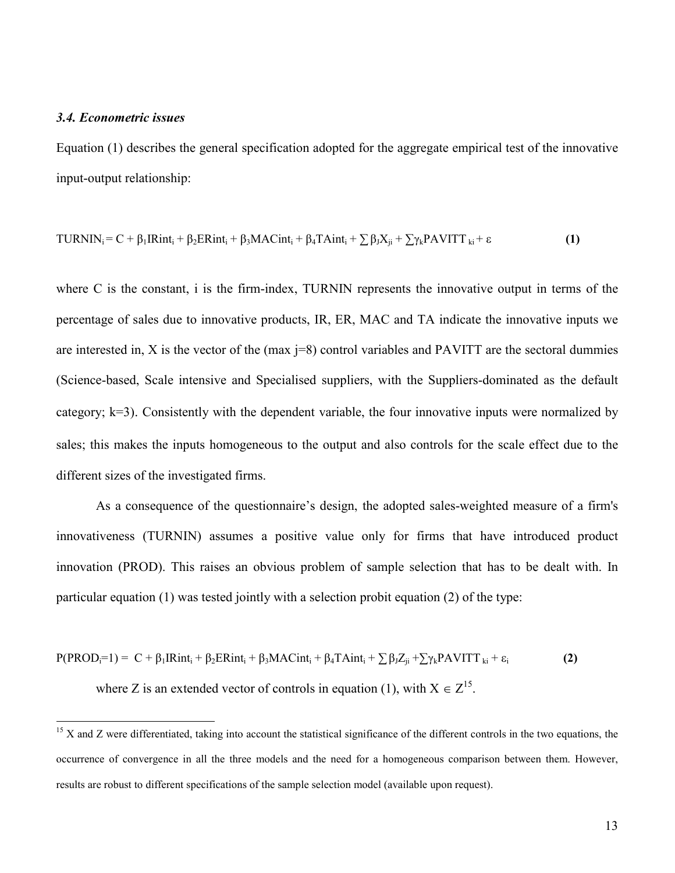#### *3.4. Econometric issues*

 $\overline{a}$ 

Equation (1) describes the general specification adopted for the aggregate empirical test of the innovative input-output relationship:

TURNIN<sub>i</sub> = C + 
$$
\beta_1
$$
IRint<sub>i</sub> +  $\beta_2$ ERint<sub>i</sub> +  $\beta_3$ MACint<sub>i</sub> +  $\beta_4$ TAint<sub>i</sub> +  $\sum \beta_3 X_{ji}$  +  $\sum \gamma_k$ PAVITT<sub>ki</sub> +  $\varepsilon$  (1)

where C is the constant, i is the firm-index, TURNIN represents the innovative output in terms of the percentage of sales due to innovative products, IR, ER, MAC and TA indicate the innovative inputs we are interested in, X is the vector of the (max  $j=8$ ) control variables and PAVITT are the sectoral dummies (Science-based, Scale intensive and Specialised suppliers, with the Suppliers-dominated as the default category;  $k=3$ ). Consistently with the dependent variable, the four innovative inputs were normalized by sales; this makes the inputs homogeneous to the output and also controls for the scale effect due to the different sizes of the investigated firms.

As a consequence of the questionnaire's design, the adopted sales-weighted measure of a firm's innovativeness (TURNIN) assumes a positive value only for firms that have introduced product innovation (PROD). This raises an obvious problem of sample selection that has to be dealt with. In particular equation (1) was tested jointly with a selection probit equation (2) of the type:

$$
P(PRODi=1) = C + \beta_1 IRint_i + \beta_2 ERint_i + \beta_3 MACint_i + \beta_4 TAint_i + \sum \beta_1 Z_{ji} + \sum \gamma_k PAVITT_{ki} + \varepsilon_i
$$
\nwhere Z is an extended vector of controls in equation (1), with  $X \in Z^{15}$ . (2)

 $15$  X and Z were differentiated, taking into account the statistical significance of the different controls in the two equations, the occurrence of convergence in all the three models and the need for a homogeneous comparison between them. However, results are robust to different specifications of the sample selection model (available upon request).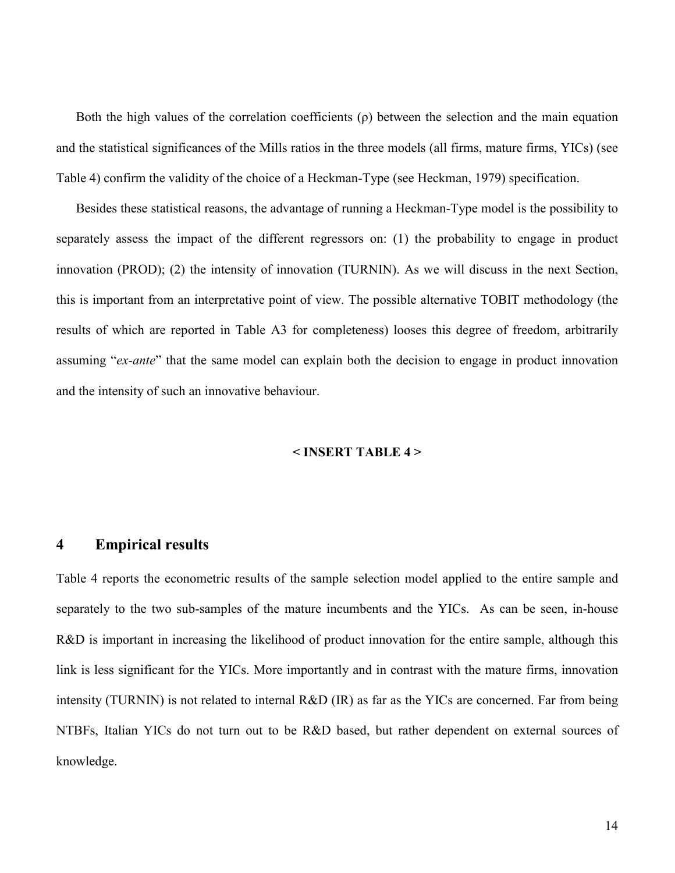Both the high values of the correlation coefficients  $(\rho)$  between the selection and the main equation and the statistical significances of the Mills ratios in the three models (all firms, mature firms, YICs) (see Table 4) confirm the validity of the choice of a Heckman-Type (see Heckman, 1979) specification.

Besides these statistical reasons, the advantage of running a Heckman-Type model is the possibility to separately assess the impact of the different regressors on: (1) the probability to engage in product innovation (PROD); (2) the intensity of innovation (TURNIN). As we will discuss in the next Section, this is important from an interpretative point of view. The possible alternative TOBIT methodology (the results of which are reported in Table A3 for completeness) looses this degree of freedom, arbitrarily assuming "*ex-ante*" that the same model can explain both the decision to engage in product innovation and the intensity of such an innovative behaviour.

#### **< INSERT TABLE 4 >**

#### **4 Empirical results**

Table 4 reports the econometric results of the sample selection model applied to the entire sample and separately to the two sub-samples of the mature incumbents and the YICs. As can be seen, in-house R&D is important in increasing the likelihood of product innovation for the entire sample, although this link is less significant for the YICs. More importantly and in contrast with the mature firms, innovation intensity (TURNIN) is not related to internal R&D (IR) as far as the YICs are concerned. Far from being NTBFs, Italian YICs do not turn out to be R&D based, but rather dependent on external sources of knowledge.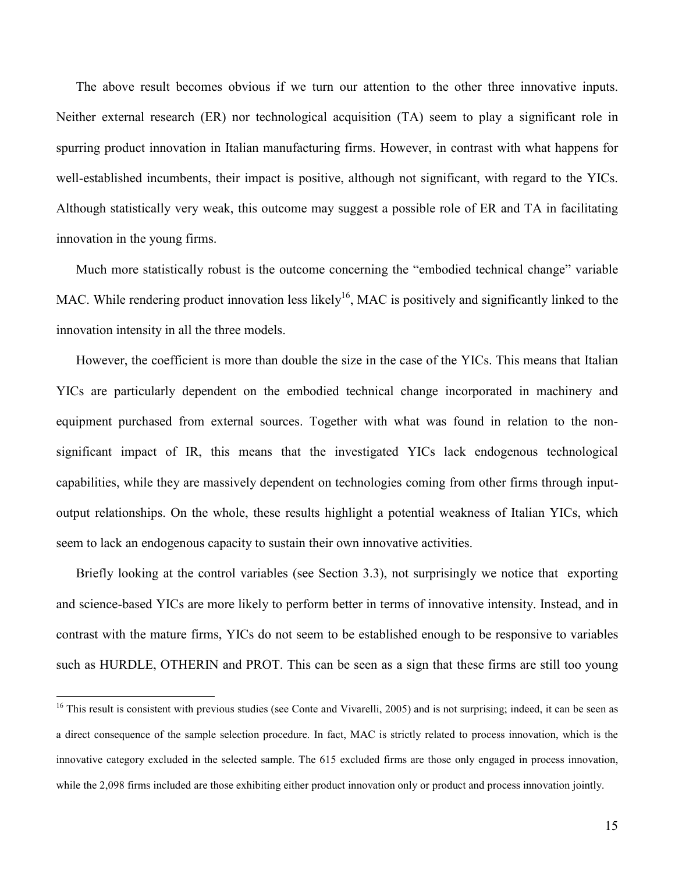The above result becomes obvious if we turn our attention to the other three innovative inputs. Neither external research (ER) nor technological acquisition (TA) seem to play a significant role in spurring product innovation in Italian manufacturing firms. However, in contrast with what happens for well-established incumbents, their impact is positive, although not significant, with regard to the YICs. Although statistically very weak, this outcome may suggest a possible role of ER and TA in facilitating innovation in the young firms.

Much more statistically robust is the outcome concerning the "embodied technical change" variable MAC. While rendering product innovation less likely<sup>16</sup>, MAC is positively and significantly linked to the innovation intensity in all the three models.

However, the coefficient is more than double the size in the case of the YICs. This means that Italian YICs are particularly dependent on the embodied technical change incorporated in machinery and equipment purchased from external sources. Together with what was found in relation to the nonsignificant impact of IR, this means that the investigated YICs lack endogenous technological capabilities, while they are massively dependent on technologies coming from other firms through inputoutput relationships. On the whole, these results highlight a potential weakness of Italian YICs, which seem to lack an endogenous capacity to sustain their own innovative activities.

Briefly looking at the control variables (see Section 3.3), not surprisingly we notice that exporting and science-based YICs are more likely to perform better in terms of innovative intensity. Instead, and in contrast with the mature firms, YICs do not seem to be established enough to be responsive to variables such as HURDLE, OTHERIN and PROT. This can be seen as a sign that these firms are still too young

 $\overline{a}$ 

 $16$  This result is consistent with previous studies (see Conte and Vivarelli, 2005) and is not surprising; indeed, it can be seen as a direct consequence of the sample selection procedure. In fact, MAC is strictly related to process innovation, which is the innovative category excluded in the selected sample. The 615 excluded firms are those only engaged in process innovation, while the 2,098 firms included are those exhibiting either product innovation only or product and process innovation jointly.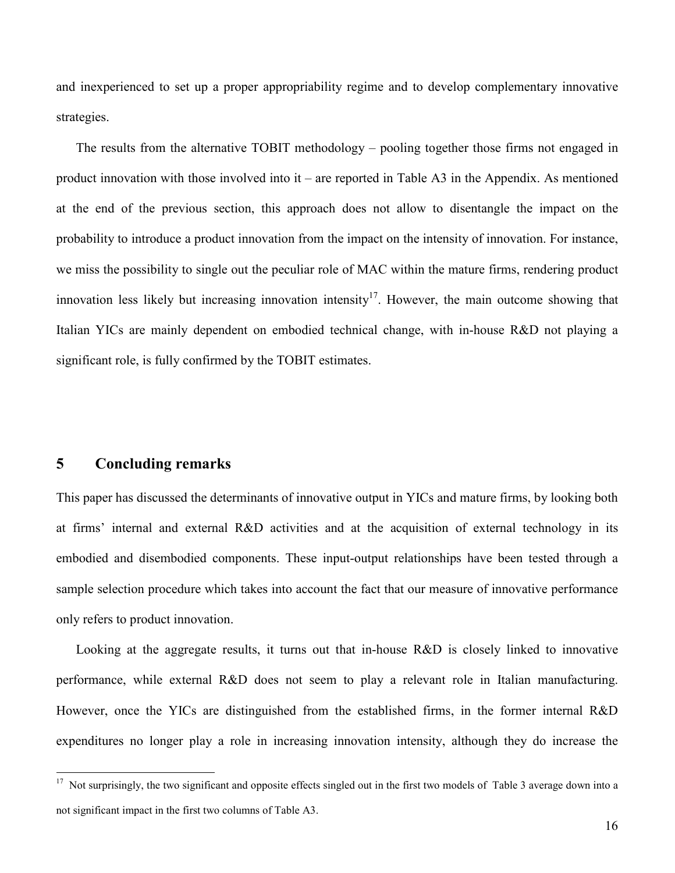and inexperienced to set up a proper appropriability regime and to develop complementary innovative strategies.

The results from the alternative TOBIT methodology – pooling together those firms not engaged in product innovation with those involved into it – are reported in Table A3 in the Appendix. As mentioned at the end of the previous section, this approach does not allow to disentangle the impact on the probability to introduce a product innovation from the impact on the intensity of innovation. For instance, we miss the possibility to single out the peculiar role of MAC within the mature firms, rendering product innovation less likely but increasing innovation intensity<sup>17</sup>. However, the main outcome showing that Italian YICs are mainly dependent on embodied technical change, with in-house R&D not playing a significant role, is fully confirmed by the TOBIT estimates.

#### **5 Concluding remarks**

 $\overline{a}$ 

This paper has discussed the determinants of innovative output in YICs and mature firms, by looking both at firms' internal and external R&D activities and at the acquisition of external technology in its embodied and disembodied components. These input-output relationships have been tested through a sample selection procedure which takes into account the fact that our measure of innovative performance only refers to product innovation.

Looking at the aggregate results, it turns out that in-house R&D is closely linked to innovative performance, while external R&D does not seem to play a relevant role in Italian manufacturing. However, once the YICs are distinguished from the established firms, in the former internal R&D expenditures no longer play a role in increasing innovation intensity, although they do increase the

<sup>&</sup>lt;sup>17</sup> Not surprisingly, the two significant and opposite effects singled out in the first two models of Table 3 average down into a not significant impact in the first two columns of Table A3.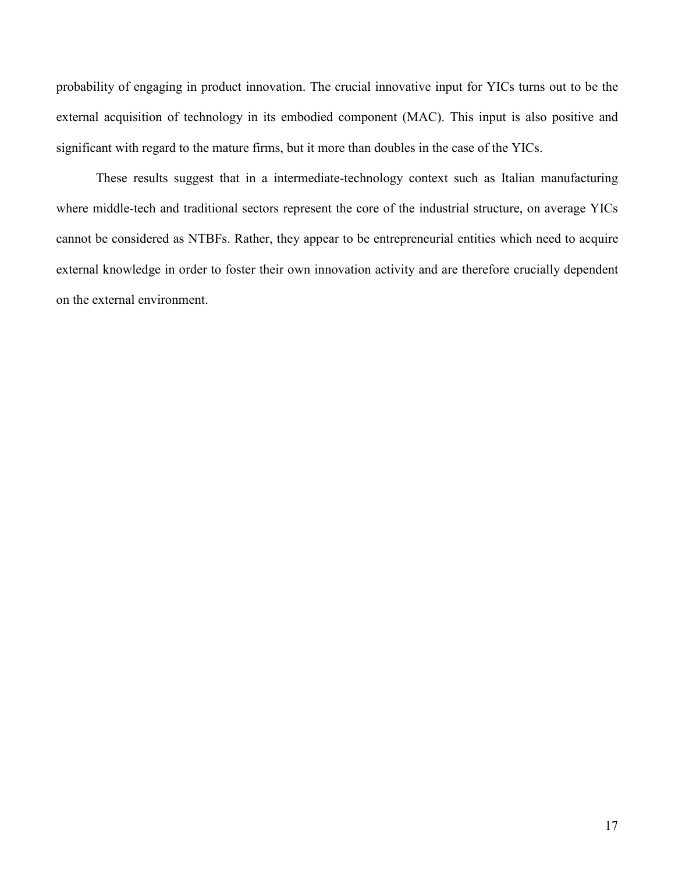probability of engaging in product innovation. The crucial innovative input for YICs turns out to be the external acquisition of technology in its embodied component (MAC). This input is also positive and significant with regard to the mature firms, but it more than doubles in the case of the YICs.

These results suggest that in a intermediate-technology context such as Italian manufacturing where middle-tech and traditional sectors represent the core of the industrial structure, on average YICs cannot be considered as NTBFs. Rather, they appear to be entrepreneurial entities which need to acquire external knowledge in order to foster their own innovation activity and are therefore crucially dependent on the external environment.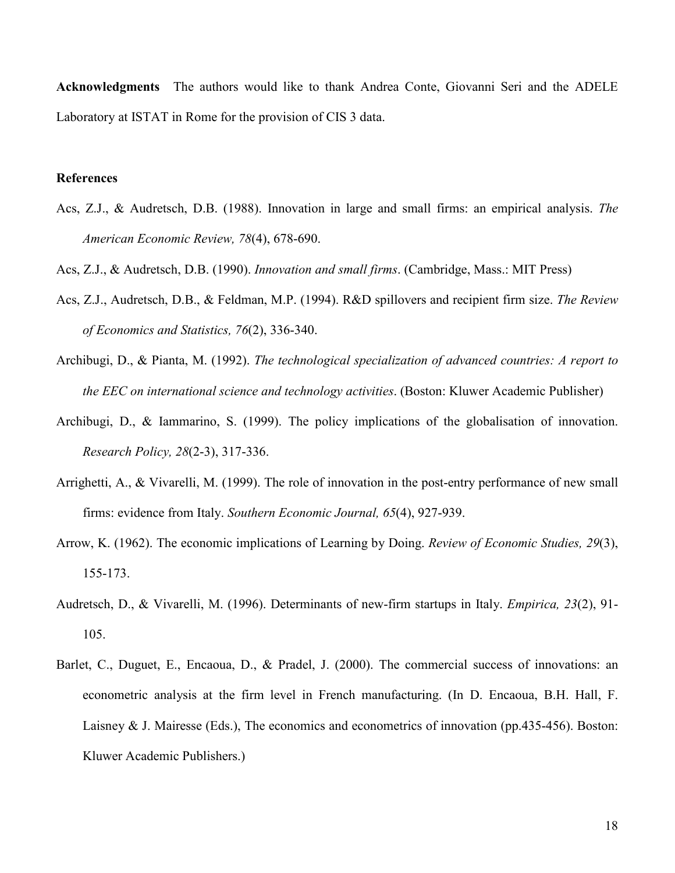**Acknowledgments** The authors would like to thank Andrea Conte, Giovanni Seri and the ADELE Laboratory at ISTAT in Rome for the provision of CIS 3 data.

#### **References**

- Acs, Z.J., & Audretsch, D.B. (1988). Innovation in large and small firms: an empirical analysis. *The American Economic Review, 78*(4), 678-690.
- Acs, Z.J., & Audretsch, D.B. (1990). *Innovation and small firms*. (Cambridge, Mass.: MIT Press)
- Acs, Z.J., Audretsch, D.B., & Feldman, M.P. (1994). R&D spillovers and recipient firm size. *The Review of Economics and Statistics, 76*(2), 336-340.
- Archibugi, D., & Pianta, M. (1992). *The technological specialization of advanced countries: A report to the EEC on international science and technology activities*. (Boston: Kluwer Academic Publisher)
- Archibugi, D., & Iammarino, S. (1999). The policy implications of the globalisation of innovation. *Research Policy, 28*(2-3), 317-336.
- Arrighetti, A., & Vivarelli, M. (1999). [The role of innovation in the post-entry performance of new small](http://ideas.repec.org/a/sej/ancoec/v654y1999p927-939.html)  [firms: evidence from Italy.](http://ideas.repec.org/a/sej/ancoec/v654y1999p927-939.html) *[Southern Economic Journal](http://ideas.repec.org/s/sej/ancoec.html), 65*(4), 927-939.
- Arrow, K. (1962). The economic implications of Learning by Doing. *Review of Economic Studies, 29*(3), 155-173.
- Audretsch, D., & Vivarelli, M. (1996). Determinants of new-firm startups in Italy. *Empirica, 23*(2), 91- 105.
- Barlet, C., Duguet, E., Encaoua, D., & Pradel, J. (2000). The commercial success of innovations: an econometric analysis at the firm level in French manufacturing. (In D. Encaoua, B.H. Hall, F. Laisney & J. Mairesse (Eds.), The economics and econometrics of innovation (pp.435-456). Boston: Kluwer Academic Publishers.)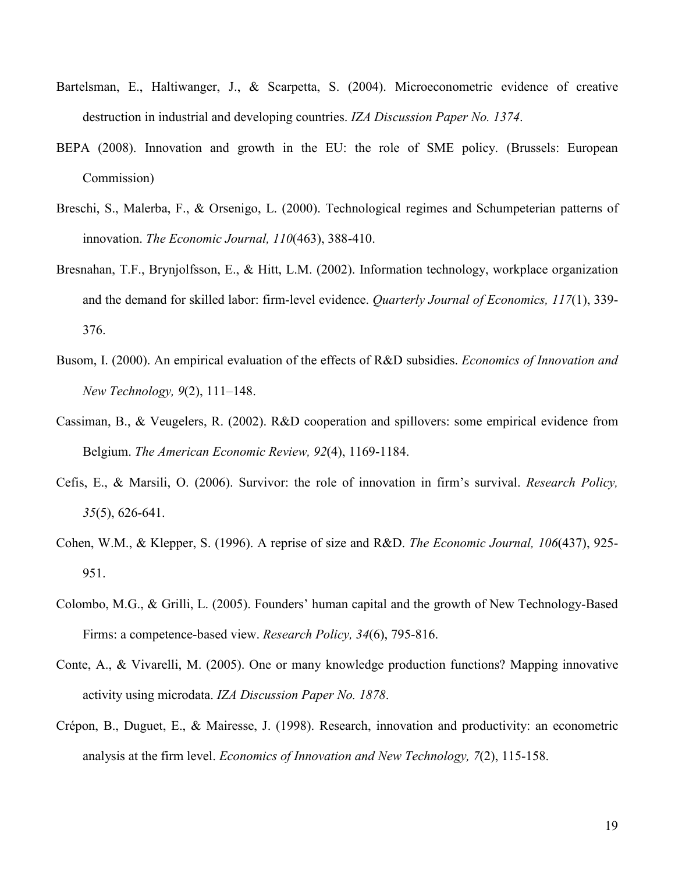- Bartelsman, E., Haltiwanger, J., & Scarpetta, S. (2004). Microeconometric evidence of creative destruction in industrial and developing countries. *IZA Discussion Paper No. 1374*.
- BEPA (2008). Innovation and growth in the EU: the role of SME policy. (Brussels: European Commission)
- Breschi, S., Malerba, F., & Orsenigo, L. (2000). Technological regimes and Schumpeterian patterns of innovation. *The Economic Journal, 110*(463), 388-410.
- Bresnahan, T.F., Brynjolfsson, E., & Hitt, L.M. (2002). Information technology, workplace organization and the demand for skilled labor: firm-level evidence. *Quarterly Journal of Economics, 117*(1), 339- 376.
- Busom, I. (2000). An empirical evaluation of the effects of R&D subsidies. *Economics of Innovation and New Technology, 9*(2), 111–148.
- Cassiman, B., & Veugelers, R. (2002). R&D cooperation and spillovers: some empirical evidence from Belgium. *The American Economic Review, 92*(4), 1169-1184.
- Cefis, E., & Marsili, O. (2006). Survivor: the role of innovation in firm's survival. *Research Policy, 35*(5), 626-641.
- Cohen, W.M., & Klepper, S. (1996). A reprise of size and R&D. *The Economic Journal, 106*(437), 925- 951.
- Colombo, M.G., & Grilli, L. (2005). Founders' human capital and the growth of New Technology-Based Firms: a competence-based view. *Research Policy, 34*(6), 795-816.
- Conte, A., & Vivarelli, M. (2005). One or many knowledge production functions? Mapping innovative activity using microdata. *IZA Discussion Paper No. 1878*.
- Crépon, B., Duguet, E., & Mairesse, J. (1998). Research, innovation and productivity: an econometric analysis at the firm level. *Economics of Innovation and New Technology, 7*(2), 115-158.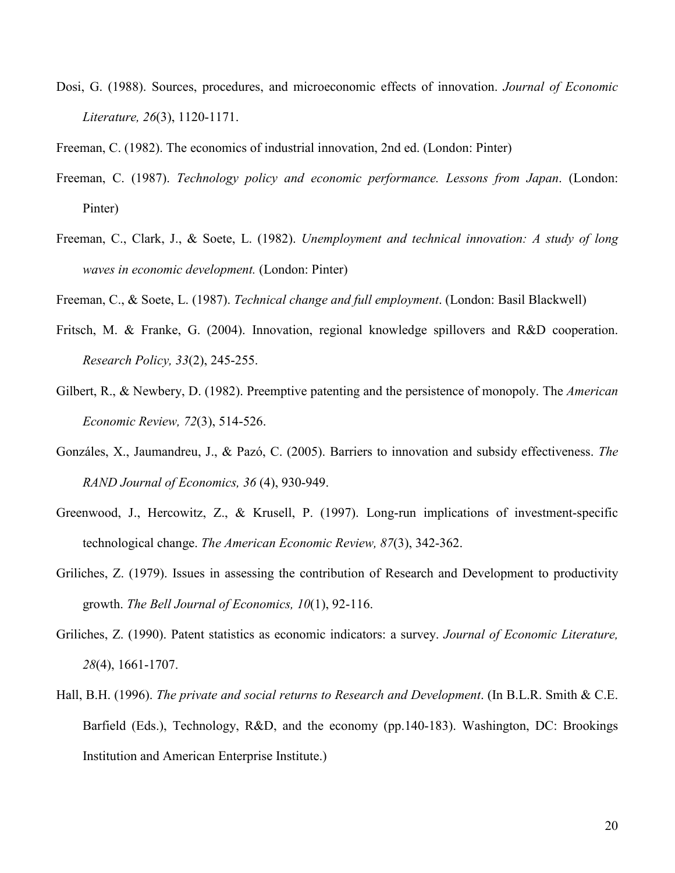Dosi, G. (1988). Sources, procedures, and microeconomic effects of innovation. *Journal of Economic Literature, 26*(3), 1120-1171.

Freeman, C. (1982). The economics of industrial innovation, 2nd ed. (London: Pinter)

- Freeman, C. (1987). *Technology policy and economic performance. Lessons from Japan*. (London: Pinter)
- [Freeman, C., Clark, J., & S](http://www.carlotaperez.org/papers/1-technologicalrevolutionsparadigm.htm#6note)oete, L. (1982). *Unemployment and technical innovation: A study of long waves in economic development.* (London: Pinter)

Freeman, C., & Soete, L. (1987). *Technical change and full employment*. (London: Basil Blackwell)

- Fritsch, M. & Franke, G. (2004). Innovation, regional knowledge spillovers and R&D cooperation. *Research Policy, 33*(2), 245-255.
- Gilbert, R., & Newbery, D. (1982). Preemptive patenting and the persistence of monopoly. The *American Economic Review, 72*(3), 514-526.
- Gonzáles, X., Jaumandreu, J., & Pazó, C. (2005). Barriers to innovation and subsidy effectiveness. *The RAND Journal of Economics, 36* (4), 930-949.
- Greenwood, J., Hercowitz, Z., & Krusell, P. (1997). Long-run implications of investment-specific technological change. *The American Economic Review, 87*(3), 342-362.
- Griliches, Z. (1979). Issues in assessing the contribution of Research and Development to productivity growth. *The Bell Journal of Economics, 10*(1), 92-116.
- Griliches, Z. (1990). Patent statistics as economic indicators: a survey. *Journal of Economic Literature, 28*(4), 1661-1707.
- Hall, B.H. (1996). *The private and social returns to Research and Development*. (In B.L.R. Smith & C.E. Barfield (Eds.), Technology, R&D, and the economy (pp.140-183). Washington, DC: Brookings Institution and American Enterprise Institute.)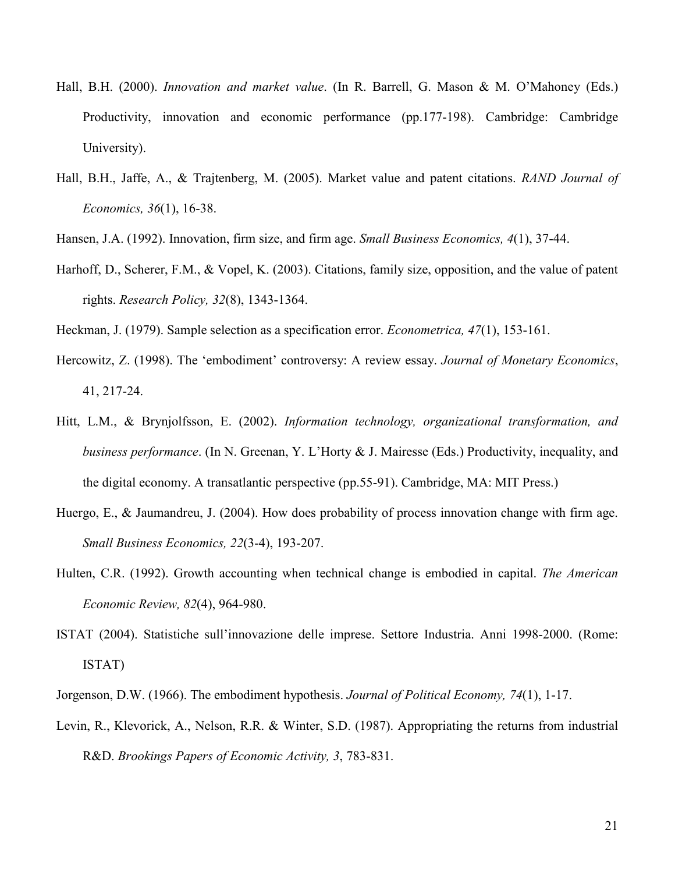- Hall, B.H. (2000). *Innovation and market value*. (In R. Barrell, G. Mason & M. O'Mahoney (Eds.) Productivity, innovation and economic performance (pp.177-198). Cambridge: Cambridge University).
- Hall, B.H., Jaffe, A., & Trajtenberg, M. (2005). Market value and patent citations. *RAND Journal of Economics, 36*(1), 16-38.
- Hansen, J.A. (1992). Innovation, firm size, and firm age. *Small Business Economics, 4*(1), 37-44.
- Harhoff, D., Scherer, F.M., & Vopel, K. (2003). Citations, family size, opposition, and the value of patent rights. *Research Policy, 32*(8), 1343-1364.
- Heckman, J. (1979). Sample selection as a specification error. *Econometrica, 47*(1), 153-161.
- Hercowitz, Z. (1998). The 'embodiment' controversy: A review essay. *Journal of Monetary Economics*, 41, 217-24.
- Hitt, L.M., & Brynjolfsson, E. (2002). *Information technology, organizational transformation, and business performance*. (In N. Greenan, Y. L'Horty & J. Mairesse (Eds.) Productivity, inequality, and the digital economy. A transatlantic perspective (pp.55-91). Cambridge, MA: MIT Press.)
- Huergo, E., & Jaumandreu, J. (2004). How does probability of process innovation change with firm age. *Small Business Economics, 22*(3-4), 193-207.
- Hulten, C.R. (1992). Growth accounting when technical change is embodied in capital. *The American Economic Review, 82*(4), 964-980.
- ISTAT (2004). Statistiche sull'innovazione delle imprese. Settore Industria. Anni 1998-2000. (Rome: ISTAT)
- Jorgenson, D.W. (1966). The embodiment hypothesis. *Journal of Political Economy, 74*(1), 1-17.
- Levin, R., Klevorick, A., Nelson, R.R. & Winter, S.D. (1987). Appropriating the returns from industrial R&D. *Brookings Papers of Economic Activity, 3*, 783-831.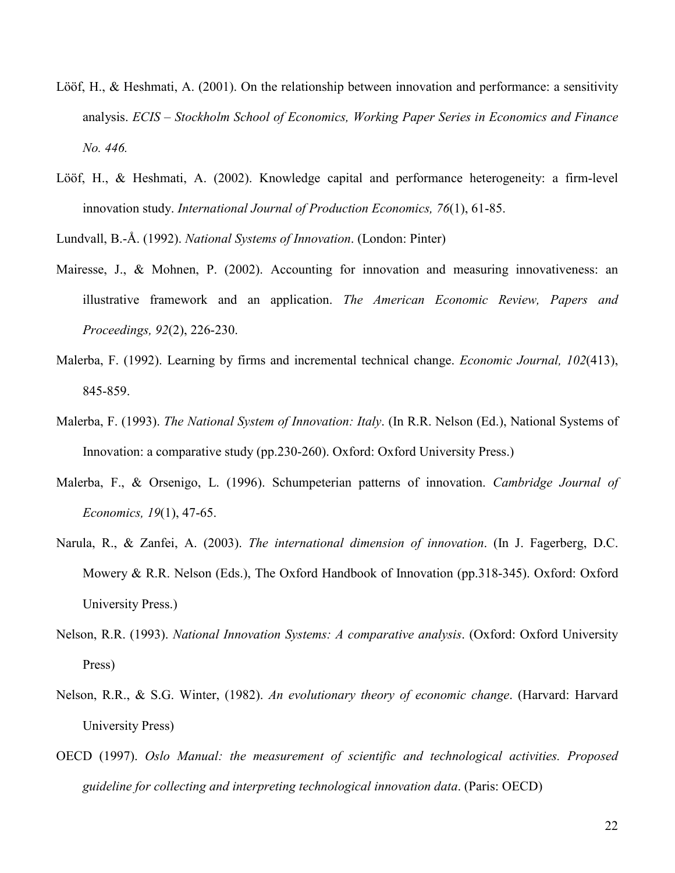- Lööf, H., & Heshmati, A. (2001). On the relationship between innovation and performance: a sensitivity analysis. *ECIS – Stockholm School of Economics, Working Paper Series in Economics and Finance No. 446.*
- Lööf, H., & Heshmati, A. (2002). Knowledge capital and performance heterogeneity: a firm-level innovation study. *International Journal of Production Economics, 76*(1), 61-85.

Lundvall, B.-Å. (1992). *National Systems of Innovation*. (London: Pinter)

- Mairesse, J., & Mohnen, P. (2002). Accounting for innovation and measuring innovativeness: an illustrative framework and an application. *The American Economic Review, Papers and Proceedings, 92*(2), 226-230.
- Malerba, F. (1992). Learning by firms and incremental technical change. *Economic Journal, 102*(413), 845-859.
- Malerba, F. (1993). *The National System of Innovation: Italy*. (In R.R. Nelson (Ed.), National Systems of Innovation: a comparative study (pp.230-260). Oxford: Oxford University Press.)
- Malerba, F., & Orsenigo, L. (1996). Schumpeterian patterns of innovation. *Cambridge Journal of Economics, 19*(1), 47-65.
- Narula, R., & Zanfei, A. (2003). *The international dimension of innovation*. (In J. Fagerberg, D.C. Mowery & R.R. Nelson (Eds.), The Oxford Handbook of Innovation (pp.318-345). Oxford: Oxford University Press.)
- Nelson, R.R. (1993). *National Innovation Systems: A comparative analysis*. (Oxford: Oxford University Press)
- Nelson, R.R., & S.G. Winter, (1982). *An evolutionary theory of economic change*. (Harvard: Harvard University Press)
- OECD (1997). *Oslo Manual: the measurement of scientific and technological activities. Proposed guideline for collecting and interpreting technological innovation data*. (Paris: OECD)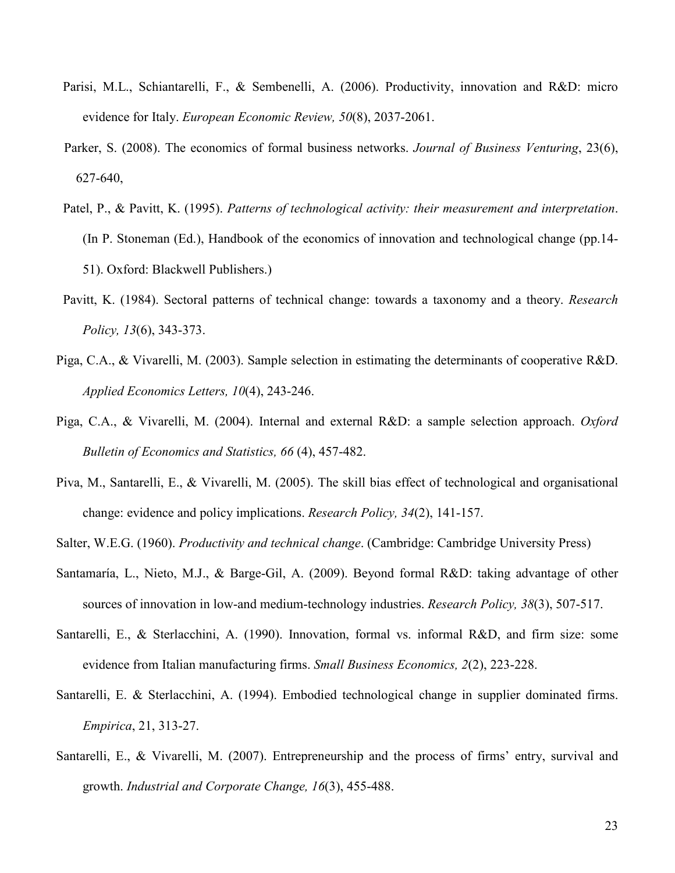- Parisi, M.L., Schiantarelli, F., & Sembenelli, A. (2006). Productivity, innovation and R&D: micro evidence for Italy. *European Economic Review, 50*(8), 2037-2061.
- Parker, S. (2008). The economics of formal business networks. *Journal of Business Venturing*, 23(6), 627-640,
- Patel, P., & Pavitt, K. (1995). *Patterns of technological activity: their measurement and interpretation*. (In P. Stoneman (Ed.), Handbook of the economics of innovation and technological change (pp.14- 51). Oxford: Blackwell Publishers.)
- Pavitt, K. (1984). Sectoral patterns of technical change: towards a taxonomy and a theory. *Research Policy, 13*(6), 343-373.
- Piga, C.A., & Vivarelli, M. (2003). [Sample selection in estimating the determinants of cooperative R&D.](http://ideas.repec.org/a/taf/apeclt/v10y2003i4p243-246.html) *[Applied Economics Letters](http://ideas.repec.org/s/taf/apeclt.html), 10*(4), 243-246.
- Piga, C.A., & Vivarelli, M. (2004). Internal and external R&D: a sample selection approach. *Oxford Bulletin of Economics and Statistics, 66* (4), 457-482.
- Piva, M., Santarelli, E., & Vivarelli, M. (2005). The skill bias effect of technological and organisational change: evidence and policy implications. *Research Policy, 34*(2), 141-157.
- Salter, W.E.G. (1960). *Productivity and technical change*. (Cambridge: Cambridge University Press)
- Santamaría, L., Nieto, M.J., & Barge-Gil, A. (2009). Beyond formal R&D: taking advantage of other sources of innovation in low-and medium-technology industries. *Research Policy, 38*(3), 507-517.
- Santarelli, E., & Sterlacchini, A. (1990). Innovation, formal vs. informal R&D, and firm size: some evidence from Italian manufacturing firms. *Small Business Economics, 2*(2), 223-228.
- Santarelli, E. & Sterlacchini, A. (1994). Embodied technological change in supplier dominated firms. *Empirica*, 21, 313-27.
- Santarelli, E., & Vivarelli, M. (2007). Entrepreneurship and the process of firms' entry, survival and growth. *Industrial and Corporate Change, 16*(3), 455-488.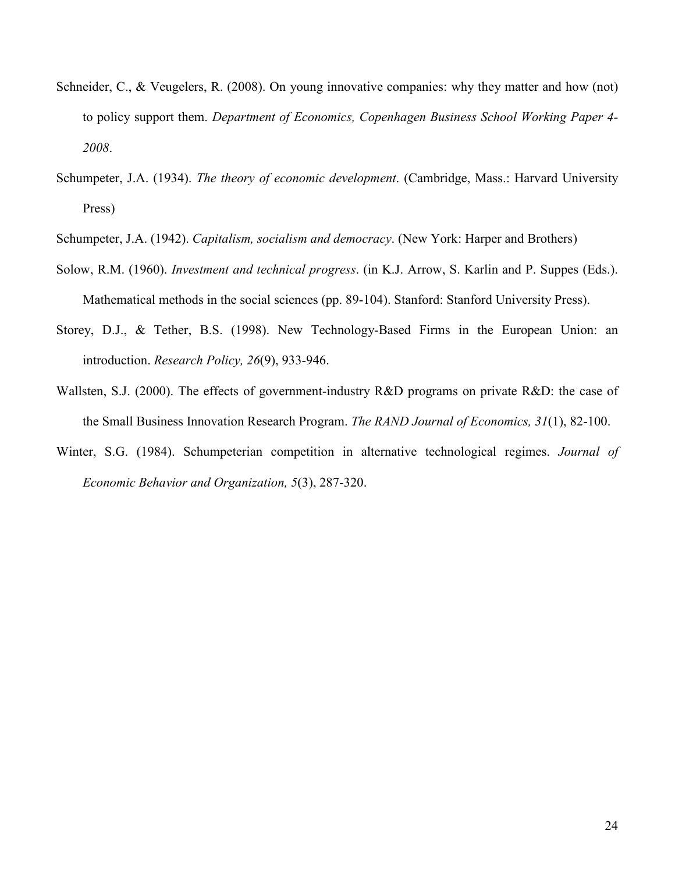- Schneider, C., & Veugelers, R. (2008). On young innovative companies: why they matter and how (not) to policy support them. *Department of Economics, Copenhagen Business School Working Paper 4- 2008*.
- Schumpeter, J.A. (1934). *The theory of economic development*. (Cambridge, Mass.: Harvard University Press)
- Schumpeter, J.A. (1942). *Capitalism, socialism and democracy*. (New York: Harper and Brothers)
- Solow, R.M. (1960). *Investment and technical progress*. (in K.J. Arrow, S. Karlin and P. Suppes (Eds.). Mathematical methods in the social sciences (pp. 89-104). Stanford: Stanford University Press).
- Storey, D.J., & Tether, B.S. (1998). New Technology-Based Firms in the European Union: an introduction. *Research Policy, 26*(9), 933-946.
- Wallsten, S.J. (2000). The effects of government-industry R&D programs on private R&D: the case of the Small Business Innovation Research Program. *The RAND Journal of Economics, 31*(1), 82-100.
- Winter, S.G. (1984). Schumpeterian competition in alternative technological regimes. *Journal of Economic Behavior and Organization, 5*(3), 287-320.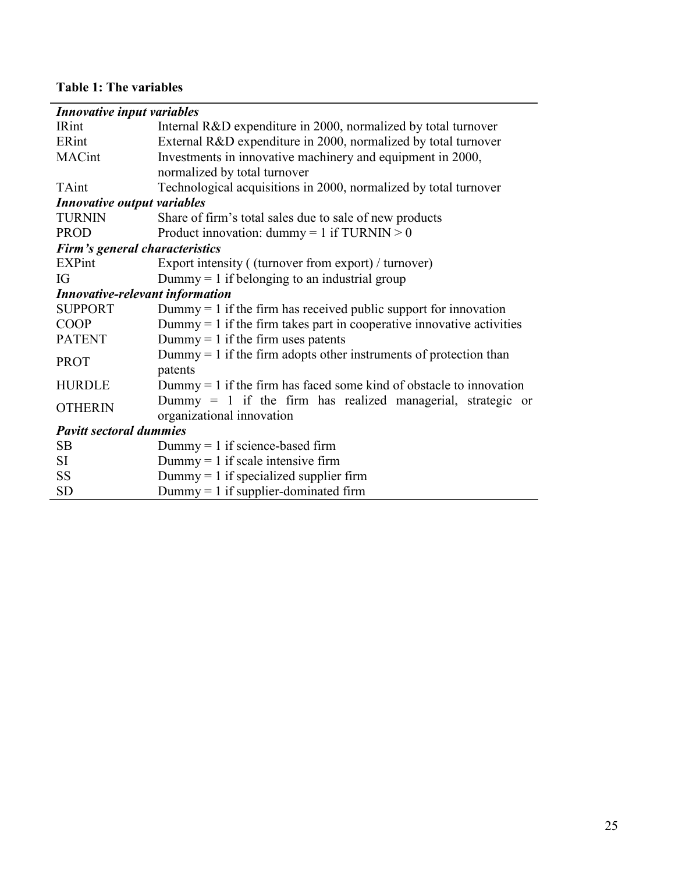# **Table 1: The variables**

| Innovative input variables             |                                                                         |
|----------------------------------------|-------------------------------------------------------------------------|
| <b>IRint</b>                           | Internal R&D expenditure in 2000, normalized by total turnover          |
| ERint                                  | External R&D expenditure in 2000, normalized by total turnover          |
| MACint                                 | Investments in innovative machinery and equipment in 2000,              |
|                                        | normalized by total turnover                                            |
| TAint                                  | Technological acquisitions in 2000, normalized by total turnover        |
| Innovative output variables            |                                                                         |
| <b>TURNIN</b>                          | Share of firm's total sales due to sale of new products                 |
| <b>PROD</b>                            | Product innovation: $dummy = 1$ if TURNIN > 0                           |
| Firm's general characteristics         |                                                                         |
| EXPint                                 | Export intensity ((turnover from export) / turnover)                    |
| IG                                     | Dummy = 1 if belonging to an industrial group                           |
| <b>Innovative-relevant information</b> |                                                                         |
| <b>SUPPORT</b>                         | Dummy $= 1$ if the firm has received public support for innovation      |
| <b>COOP</b>                            | Dummy $= 1$ if the firm takes part in cooperative innovative activities |
| <b>PATENT</b>                          | Dummy = 1 if the firm uses patents                                      |
| <b>PROT</b>                            | Dummy $= 1$ if the firm adopts other instruments of protection than     |
|                                        | patents                                                                 |
| <b>HURDLE</b>                          | Dummy $= 1$ if the firm has faced some kind of obstacle to innovation   |
| <b>OTHERIN</b>                         | Dummy = 1 if the firm has realized managerial, strategic or             |
|                                        | organizational innovation                                               |
| <b>Pavitt sectoral dummies</b>         |                                                                         |
| <b>SB</b>                              | $Dummy = 1$ if science-based firm                                       |
| SI                                     | $Dummy = 1$ if scale intensive firm                                     |
| <b>SS</b>                              | Dummy $= 1$ if specialized supplier firm                                |
| <b>SD</b>                              | $Dummy = 1$ if supplier-dominated firm                                  |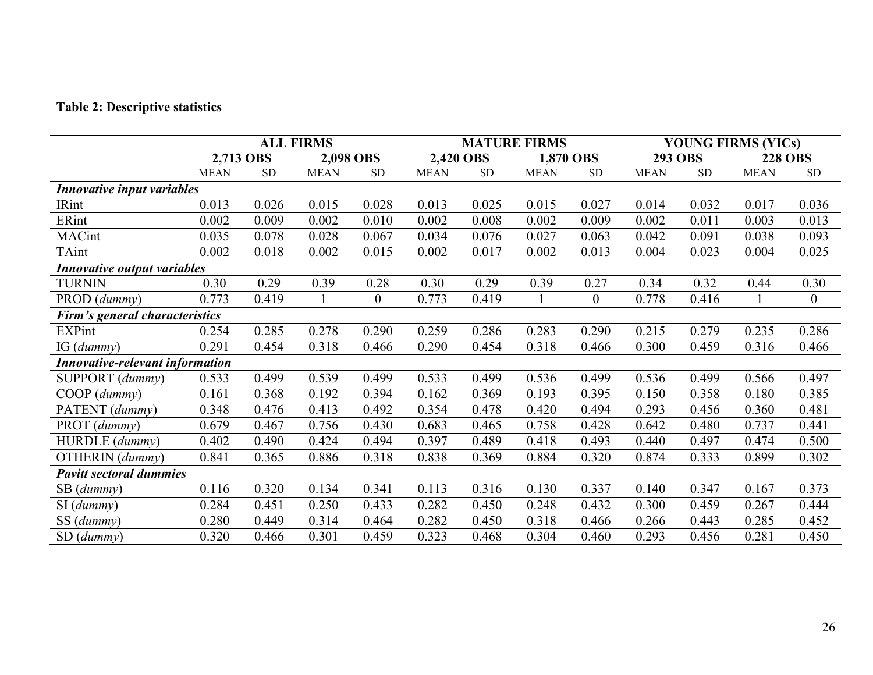#### **Table 2: Descriptive statistics**

|                                        | <b>ALL FIRMS</b> |           |             |                | <b>MATURE FIRMS</b> |           |             |                  | <b>YOUNG FIRMS (YICs)</b> |                |                |                  |
|----------------------------------------|------------------|-----------|-------------|----------------|---------------------|-----------|-------------|------------------|---------------------------|----------------|----------------|------------------|
|                                        | 2,713 OBS        |           | 2,098 OBS   |                | 2,420 OBS           |           | 1,870 OBS   |                  |                           | <b>293 OBS</b> | <b>228 OBS</b> |                  |
|                                        | <b>MEAN</b>      | <b>SD</b> | <b>MEAN</b> | <b>SD</b>      | <b>MEAN</b>         | <b>SD</b> | <b>MEAN</b> | <b>SD</b>        | <b>MEAN</b>               | <b>SD</b>      | <b>MEAN</b>    | <b>SD</b>        |
| Innovative input variables             |                  |           |             |                |                     |           |             |                  |                           |                |                |                  |
| <b>IRint</b>                           | 0.013            | 0.026     | 0.015       | 0.028          | 0.013               | 0.025     | 0.015       | 0.027            | 0.014                     | 0.032          | 0.017          | 0.036            |
| ERint                                  | 0.002            | 0.009     | 0.002       | 0.010          | 0.002               | 0.008     | 0.002       | 0.009            | 0.002                     | 0.011          | 0.003          | 0.013            |
| <b>MACint</b>                          | 0.035            | 0.078     | 0.028       | 0.067          | 0.034               | 0.076     | 0.027       | 0.063            | 0.042                     | 0.091          | 0.038          | 0.093            |
| TAint                                  | 0.002            | 0.018     | 0.002       | 0.015          | 0.002               | 0.017     | 0.002       | 0.013            | 0.004                     | 0.023          | 0.004          | 0.025            |
| <b>Innovative output variables</b>     |                  |           |             |                |                     |           |             |                  |                           |                |                |                  |
| <b>TURNIN</b>                          | 0.30             | 0.29      | 0.39        | 0.28           | 0.30                | 0.29      | 0.39        | 0.27             | 0.34                      | 0.32           | 0.44           | 0.30             |
| PROD (dummy)                           | 0.773            | 0.419     |             | $\overline{0}$ | 0.773               | 0.419     |             | $\boldsymbol{0}$ | 0.778                     | 0.416          |                | $\boldsymbol{0}$ |
| Firm's general characteristics         |                  |           |             |                |                     |           |             |                  |                           |                |                |                  |
| <b>EXPint</b>                          | 0.254            | 0.285     | 0.278       | 0.290          | 0.259               | 0.286     | 0.283       | 0.290            | 0.215                     | 0.279          | 0.235          | 0.286            |
| IG (dummy)                             | 0.291            | 0.454     | 0.318       | 0.466          | 0.290               | 0.454     | 0.318       | 0.466            | 0.300                     | 0.459          | 0.316          | 0.466            |
| <b>Innovative-relevant information</b> |                  |           |             |                |                     |           |             |                  |                           |                |                |                  |
| SUPPORT (dummy)                        | 0.533            | 0.499     | 0.539       | 0.499          | 0.533               | 0.499     | 0.536       | 0.499            | 0.536                     | 0.499          | 0.566          | 0.497            |
| $COOP$ (dummy)                         | 0.161            | 0.368     | 0.192       | 0.394          | 0.162               | 0.369     | 0.193       | 0.395            | 0.150                     | 0.358          | 0.180          | 0.385            |
| PATENT (dummy)                         | 0.348            | 0.476     | 0.413       | 0.492          | 0.354               | 0.478     | 0.420       | 0.494            | 0.293                     | 0.456          | 0.360          | 0.481            |
| PROT (dummy)                           | 0.679            | 0.467     | 0.756       | 0.430          | 0.683               | 0.465     | 0.758       | 0.428            | 0.642                     | 0.480          | 0.737          | 0.441            |
| HURDLE (dummy)                         | 0.402            | 0.490     | 0.424       | 0.494          | 0.397               | 0.489     | 0.418       | 0.493            | 0.440                     | 0.497          | 0.474          | 0.500            |
| OTHERIN (dummy)                        | 0.841            | 0.365     | 0.886       | 0.318          | 0.838               | 0.369     | 0.884       | 0.320            | 0.874                     | 0.333          | 0.899          | 0.302            |
| <b>Pavitt sectoral dummies</b>         |                  |           |             |                |                     |           |             |                  |                           |                |                |                  |
| SB (dummy)                             | 0.116            | 0.320     | 0.134       | 0.341          | 0.113               | 0.316     | 0.130       | 0.337            | 0.140                     | 0.347          | 0.167          | 0.373            |
| SI (dummy)                             | 0.284            | 0.451     | 0.250       | 0.433          | 0.282               | 0.450     | 0.248       | 0.432            | 0.300                     | 0.459          | 0.267          | 0.444            |
| SS (dummy)                             | 0.280            | 0.449     | 0.314       | 0.464          | 0.282               | 0.450     | 0.318       | 0.466            | 0.266                     | 0.443          | 0.285          | 0.452            |
| SD(dumm)                               | 0.320            | 0.466     | 0.301       | 0.459          | 0.323               | 0.468     | 0.304       | 0.460            | 0.293                     | 0.456          | 0.281          | 0.450            |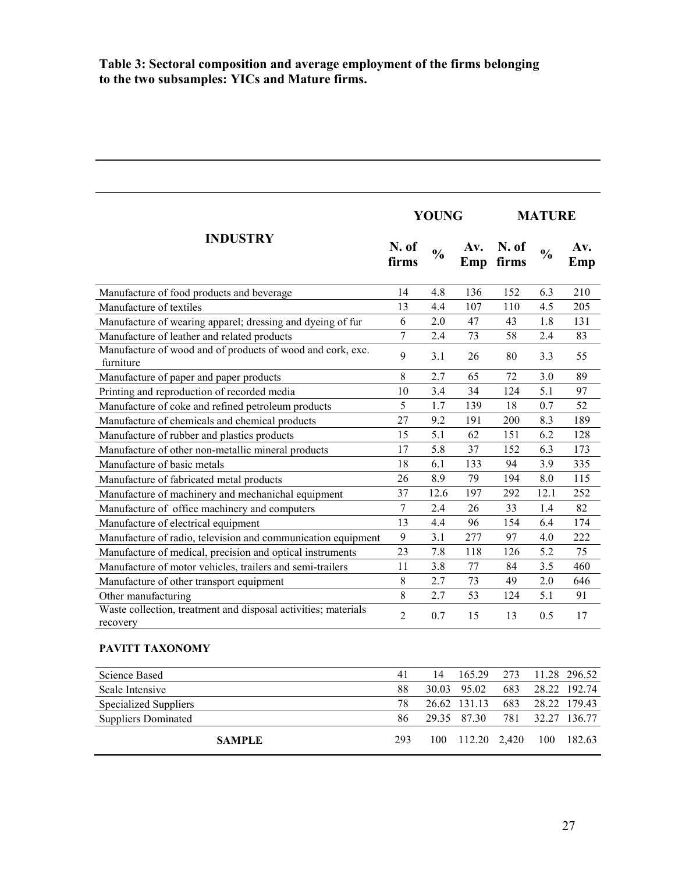## **Table 3: Sectoral composition and average employment of the firms belonging to the two subsamples: YICs and Mature firms.**

|                                                                            |                | <b>YOUNG</b>  |            | <b>MATURE</b>  |               |              |
|----------------------------------------------------------------------------|----------------|---------------|------------|----------------|---------------|--------------|
| <b>INDUSTRY</b>                                                            | N. of<br>firms | $\frac{0}{0}$ | Av.<br>Emp | N. of<br>firms | $\frac{0}{0}$ | Av.<br>Emp   |
| Manufacture of food products and beverage                                  | 14             | 4.8           | 136        | 152            | 6.3           | 210          |
| Manufacture of textiles                                                    | 13             | 4.4           | 107        | 110            | 4.5           | 205          |
| Manufacture of wearing apparel; dressing and dyeing of fur                 | 6              | 2.0           | 47         | 43             | 1.8           | 131          |
| Manufacture of leather and related products                                | $\overline{7}$ | 2.4           | 73         | 58             | 2.4           | 83           |
| Manufacture of wood and of products of wood and cork, exc.<br>furniture    | 9              | 3.1           | 26         | 80             | 3.3           | 55           |
| Manufacture of paper and paper products                                    | 8              | 2.7           | 65         | 72             | 3.0           | 89           |
| Printing and reproduction of recorded media                                | 10             | 3.4           | 34         | 124            | 5.1           | 97           |
| Manufacture of coke and refined petroleum products                         | 5              | 1.7           | 139        | 18             | 0.7           | 52           |
| Manufacture of chemicals and chemical products                             | 27             | 9.2           | 191        | 200            | 8.3           | 189          |
| Manufacture of rubber and plastics products                                | 15             | 5.1           | 62         | 151            | 6.2           | 128          |
| Manufacture of other non-metallic mineral products                         | 17             | 5.8           | 37         | 152            | 6.3           | 173          |
| Manufacture of basic metals                                                | 18             | 6.1           | 133        | 94             | 3.9           | 335          |
| Manufacture of fabricated metal products                                   | 26             | 8.9           | 79         | 194            | 8.0           | 115          |
| Manufacture of machinery and mechanichal equipment                         | 37             | 12.6          | 197        | 292            | 12.1          | 252          |
| Manufacture of office machinery and computers                              | $\overline{7}$ | 2.4           | 26         | 33             | 1.4           | 82           |
| Manufacture of electrical equipment                                        | 13             | 4.4           | 96         | 154            | 6.4           | 174          |
| Manufacture of radio, television and communication equipment               | 9              | 3.1           | 277        | 97             | 4.0           | 222          |
| Manufacture of medical, precision and optical instruments                  | 23             | 7.8           | 118        | 126            | 5.2           | 75           |
| Manufacture of motor vehicles, trailers and semi-trailers                  | 11             | 3.8           | 77         | 84             | 3.5           | 460          |
| Manufacture of other transport equipment                                   | 8              | 2.7           | 73         | 49             | 2.0           | 646          |
| Other manufacturing                                                        | 8              | 2.7           | 53         | 124            | 5.1           | 91           |
| Waste collection, treatment and disposal activities; materials<br>recovery | $\overline{2}$ | 0.7           | 15         | 13             | 0.5           | 17           |
| PAVITT TAXONOMY                                                            |                |               |            |                |               |              |
| <b>Science Based</b>                                                       | 41             | 14            | 165.29     | 273            |               | 11.28 296.52 |
| Scale Intensive                                                            | 88             | 30.03         | 95.02      | 683            | 28.22         | 192.74       |
| <b>Specialized Suppliers</b>                                               | 78             | 26.62         | 131.13     | 683            | 28.22         | 179.43       |

Suppliers Dominated 86 29.35 87.30 781 32.27 136.77

**SAMPLE** 293 100 112.20 2,420 100 182.63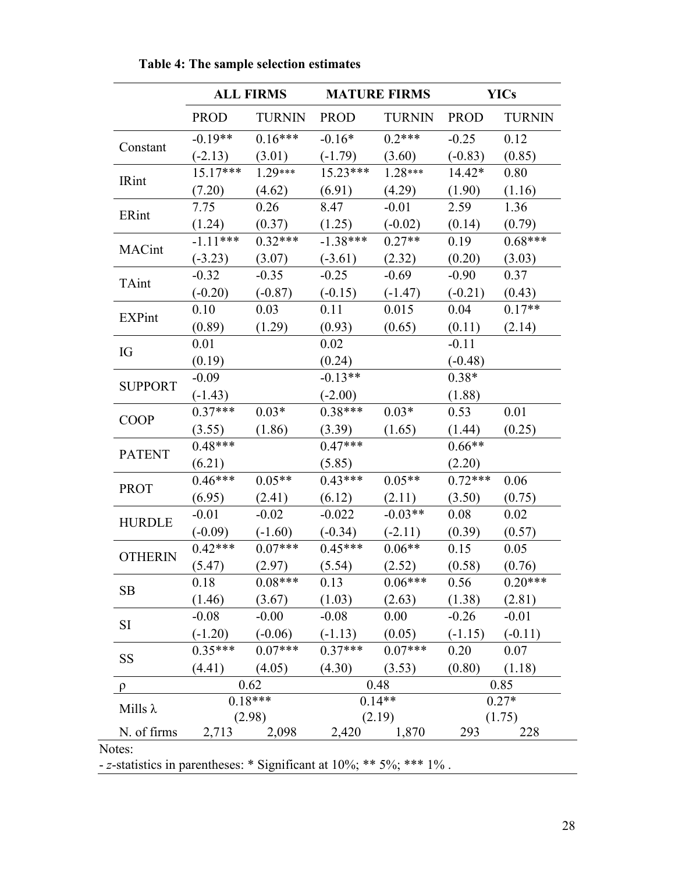|                 |             | <b>ALL FIRMS</b> | <b>MATURE FIRMS</b> |                                                  |             | <b>YICs</b>   |  |  |
|-----------------|-------------|------------------|---------------------|--------------------------------------------------|-------------|---------------|--|--|
|                 | <b>PROD</b> | <b>TURNIN</b>    | <b>PROD</b>         | <b>TURNIN</b>                                    | <b>PROD</b> | <b>TURNIN</b> |  |  |
| Constant        | $-0.19**$   | $0.16***$        | $-0.16*$            | $0.2***$                                         | $-0.25$     | 0.12          |  |  |
|                 | $(-2.13)$   | (3.01)           | $(-1.79)$           | (3.60)                                           | $(-0.83)$   | (0.85)        |  |  |
| <b>IRint</b>    | $15.17***$  | $1.29***$        | $15.23***$          | $1.28***$                                        | $14.42*$    | 0.80          |  |  |
|                 | (7.20)      | (4.62)           | (6.91)              | (4.29)                                           | (1.90)      | (1.16)        |  |  |
| ERint           | 7.75        | 0.26             | 8.47                | $-0.01$                                          | 2.59        | 1.36          |  |  |
|                 | (1.24)      | (0.37)           | (1.25)              | $(-0.02)$                                        | (0.14)      | (0.79)        |  |  |
|                 | $-1.11***$  | $0.32***$        | $-1.38***$          | $0.27**$                                         | 0.19        | $0.68***$     |  |  |
| MACint          | $(-3.23)$   | (3.07)           | $(-3.61)$           | (2.32)                                           | (0.20)      | (3.03)        |  |  |
|                 | $-0.32$     | $-0.35$          | $-0.25$             | $-0.69$                                          | $-0.90$     | 0.37          |  |  |
| TAint           | $(-0.20)$   | $(-0.87)$        | $(-0.15)$           | $(-1.47)$                                        | $(-0.21)$   | (0.43)        |  |  |
|                 | 0.10        | 0.03             | 0.11                | 0.015                                            | 0.04        | $0.17**$      |  |  |
| <b>EXPint</b>   | (0.89)      | (1.29)           | (0.93)              | (0.65)                                           | (0.11)      | (2.14)        |  |  |
|                 | 0.01        |                  | 0.02                |                                                  | $-0.11$     |               |  |  |
| IG              | (0.19)      |                  | (0.24)              |                                                  | $(-0.48)$   |               |  |  |
|                 | $-0.09$     |                  | $-0.13**$           |                                                  | $0.38*$     |               |  |  |
| <b>SUPPORT</b>  | $(-1.43)$   |                  | $(-2.00)$           |                                                  | (1.88)      |               |  |  |
|                 | $0.37***$   | $0.03*$          | $0.38***$           | $0.03*$                                          | 0.53        | 0.01          |  |  |
| <b>COOP</b>     | (3.55)      | (1.86)           | (3.39)              | (1.65)                                           | (1.44)      | (0.25)        |  |  |
|                 | $0.48***$   |                  | $0.47***$           |                                                  | $0.66**$    |               |  |  |
| <b>PATENT</b>   | (6.21)      |                  | (5.85)              |                                                  | (2.20)      |               |  |  |
|                 | $0.46***$   | $0.05**$         | $0.43***$           | $0.05**$                                         | $0.72***$   | 0.06          |  |  |
| <b>PROT</b>     | (6.95)      | (2.41)           | (6.12)              | (2.11)                                           | (3.50)      | (0.75)        |  |  |
|                 | $-0.01$     | $-0.02$          | $-0.022$            | $-0.03**$                                        | 0.08        | 0.02          |  |  |
| <b>HURDLE</b>   | $(-0.09)$   | $(-1.60)$        | $(-0.34)$           | $(-2.11)$                                        | (0.39)      | (0.57)        |  |  |
|                 | $0.42***$   | $0.07***$        | $0.45***$           | $0.06**$                                         | 0.15        | 0.05          |  |  |
| <b>OTHERIN</b>  | (5.47)      | (2.97)           | (5.54)              | (2.52)                                           | (0.58)      | (0.76)        |  |  |
|                 | 0.18        | $0.08***$        | 0.13                | $0.06***$                                        | 0.56        | $0.20***$     |  |  |
| SB              | (1.46)      | (3.67)           | (1.03)              | (2.63)                                           | (1.38)      | (2.81)        |  |  |
|                 | $-0.08$     | $-0.00$          | $-0.08$             | 0.00                                             | $-0.26$     | $-0.01$       |  |  |
| <b>SI</b>       |             |                  |                     | $(-1.20)$ $(-0.06)$ $(-1.13)$ $(0.05)$ $(-1.15)$ |             | $(-0.11)$     |  |  |
|                 | $0.35***$   | $0.07***$        | $0.37***$           | $0.07***$                                        | 0.20        | 0.07          |  |  |
| SS              | (4.41)      | (4.05)           | (4.30)              | (3.53)                                           | (0.80)      | (1.18)        |  |  |
| $\rho$          |             | 0.62             |                     | 0.48                                             | 0.85        |               |  |  |
|                 |             | $0.18***$        |                     | $0.14**$                                         |             | $0.27*$       |  |  |
| Mills $\lambda$ |             | (2.98)           |                     | (2.19)                                           | (1.75)      |               |  |  |
| N. of firms     | 2,713       | 2,098            | 2,420               | 1,870                                            | 293         | 228           |  |  |

 **Table 4: The sample selection estimates** 

- *z*-statistics in parentheses: \* Significant at 10%; \*\* 5%; \*\*\* 1% .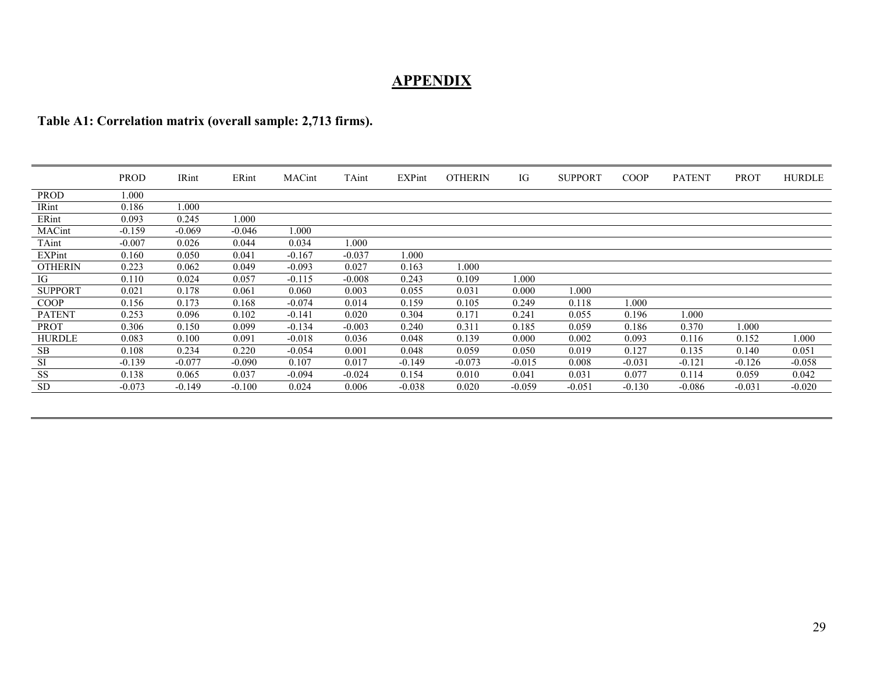# **APPENDIX**

## **Table A1: Correlation matrix (overall sample: 2,713 firms).**

|                | <b>PROD</b> | IRint    | ERint    | MACint   | TAint    | <b>EXPint</b> | <b>OTHERIN</b> | IG       | <b>SUPPORT</b> | <b>COOP</b> | <b>PATENT</b> | <b>PROT</b> | <b>HURDLE</b> |
|----------------|-------------|----------|----------|----------|----------|---------------|----------------|----------|----------------|-------------|---------------|-------------|---------------|
| <b>PROD</b>    | 000.1       |          |          |          |          |               |                |          |                |             |               |             |               |
| IRint          | 0.186       | 000.1    |          |          |          |               |                |          |                |             |               |             |               |
| ERint          | 0.093       | 0.245    | 1.000    |          |          |               |                |          |                |             |               |             |               |
| MACint         | $-0.159$    | $-0.069$ | $-0.046$ | 000.1    |          |               |                |          |                |             |               |             |               |
| TAint          | $-0.007$    | 0.026    | 0.044    | 0.034    | 1.000    |               |                |          |                |             |               |             |               |
| EXPint         | 0.160       | 0.050    | 0.041    | $-0.167$ | $-0.037$ | 1.000         |                |          |                |             |               |             |               |
| <b>OTHERIN</b> | 0.223       | 0.062    | 0.049    | $-0.093$ | 0.027    | 0.163         | 1.000          |          |                |             |               |             |               |
| IG             | 0.110       | 0.024    | 0.057    | $-0.115$ | $-0.008$ | 0.243         | 0.109          | 0.000    |                |             |               |             |               |
| <b>SUPPORT</b> | 0.021       | 0.178    | 0.061    | 0.060    | 0.003    | 0.055         | 0.031          | 0.000    | 000.1          |             |               |             |               |
| <b>COOP</b>    | 0.156       | 0.173    | 0.168    | $-0.074$ | 0.014    | 0.159         | 0.105          | 0.249    | 0.118          | 1.000       |               |             |               |
| <b>PATENT</b>  | 0.253       | 0.096    | 0.102    | $-0.141$ | 0.020    | 0.304         | 0.171          | 0.241    | 0.055          | 0.196       | 000.1         |             |               |
| <b>PROT</b>    | 0.306       | 0.150    | 0.099    | $-0.134$ | $-0.003$ | 0.240         | 0.311          | 0.185    | 0.059          | 0.186       | 0.370         | 1.000       |               |
| <b>HURDLE</b>  | 0.083       | 0.100    | 0.091    | $-0.018$ | 0.036    | 0.048         | 0.139          | 0.000    | 0.002          | 0.093       | 0.116         | 0.152       | 1.000         |
| <b>SB</b>      | 0.108       | 0.234    | 0.220    | $-0.054$ | 0.001    | 0.048         | 0.059          | 0.050    | 0.019          | 0.127       | 0.135         | 0.140       | 0.051         |
| SI             | $-0.139$    | $-0.077$ | $-0.090$ | 0.107    | 0.017    | $-0.149$      | $-0.073$       | $-0.015$ | 0.008          | $-0.031$    | $-0.121$      | $-0.126$    | $-0.058$      |
| <b>SS</b>      | 0.138       | 0.065    | 0.037    | $-0.094$ | $-0.024$ | 0.154         | 0.010          | 0.041    | 0.031          | 0.077       | 0.114         | 0.059       | 0.042         |
| <b>SD</b>      | $-0.073$    | $-0.149$ | $-0.100$ | 0.024    | 0.006    | $-0.038$      | 0.020          | $-0.059$ | $-0.051$       | $-0.130$    | $-0.086$      | $-0.031$    | $-0.020$      |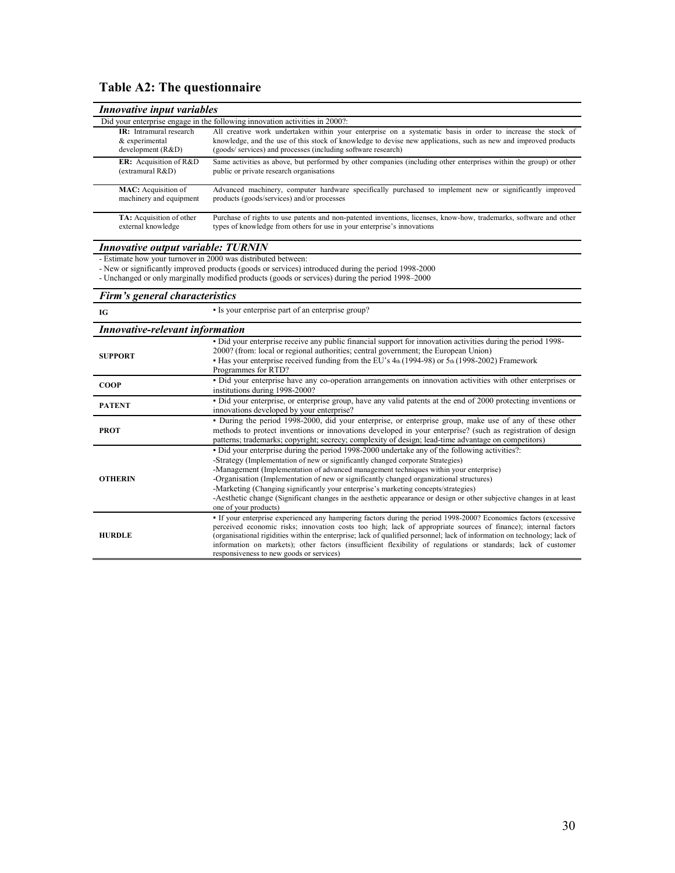# **Table A2: The questionnaire**

| Innovative input variables                                       |                                                                                                                                                                                                                                                                                                                                                                                                                                                                                                                                                                                                               |
|------------------------------------------------------------------|---------------------------------------------------------------------------------------------------------------------------------------------------------------------------------------------------------------------------------------------------------------------------------------------------------------------------------------------------------------------------------------------------------------------------------------------------------------------------------------------------------------------------------------------------------------------------------------------------------------|
|                                                                  | Did your enterprise engage in the following innovation activities in 2000?:                                                                                                                                                                                                                                                                                                                                                                                                                                                                                                                                   |
| IR: Intramural research<br>& experimental<br>development $(R&D)$ | All creative work undertaken within your enterprise on a systematic basis in order to increase the stock of<br>knowledge, and the use of this stock of knowledge to devise new applications, such as new and improved products<br>(goods/services) and processes (including software research)                                                                                                                                                                                                                                                                                                                |
| ER: Acquisition of R&D<br>(extramural R&D)                       | Same activities as above, but performed by other companies (including other enterprises within the group) or other<br>public or private research organisations                                                                                                                                                                                                                                                                                                                                                                                                                                                |
| MAC: Acquisition of<br>machinery and equipment                   | Advanced machinery, computer hardware specifically purchased to implement new or significantly improved<br>products (goods/services) and/or processes                                                                                                                                                                                                                                                                                                                                                                                                                                                         |
| <b>TA:</b> Acquisition of other<br>external knowledge            | Purchase of rights to use patents and non-patented inventions, licenses, know-how, trademarks, software and other<br>types of knowledge from others for use in your enterprise's innovations                                                                                                                                                                                                                                                                                                                                                                                                                  |
| <b>Innovative output variable: TURNIN</b>                        |                                                                                                                                                                                                                                                                                                                                                                                                                                                                                                                                                                                                               |
| - Estimate how your turnover in 2000 was distributed between:    | - New or significantly improved products (goods or services) introduced during the period 1998-2000<br>- Unchanged or only marginally modified products (goods or services) during the period 1998–2000                                                                                                                                                                                                                                                                                                                                                                                                       |
| Firm's general characteristics                                   |                                                                                                                                                                                                                                                                                                                                                                                                                                                                                                                                                                                                               |
| IG                                                               | · Is your enterprise part of an enterprise group?                                                                                                                                                                                                                                                                                                                                                                                                                                                                                                                                                             |
| <b>Innovative-relevant information</b>                           |                                                                                                                                                                                                                                                                                                                                                                                                                                                                                                                                                                                                               |
| <b>SUPPORT</b>                                                   | - Did your enterprise receive any public financial support for innovation activities during the period 1998-<br>2000? (from: local or regional authorities; central government; the European Union)<br>• Has your enterprise received funding from the EU's 4th (1994-98) or 5th (1998-2002) Framework<br>Programmes for RTD?                                                                                                                                                                                                                                                                                 |
| <b>COOP</b>                                                      | · Did your enterprise have any co-operation arrangements on innovation activities with other enterprises or<br>institutions during 1998-2000?                                                                                                                                                                                                                                                                                                                                                                                                                                                                 |
| <b>PATENT</b>                                                    | • Did your enterprise, or enterprise group, have any valid patents at the end of 2000 protecting inventions or<br>innovations developed by your enterprise?                                                                                                                                                                                                                                                                                                                                                                                                                                                   |
| <b>PROT</b>                                                      | · During the period 1998-2000, did your enterprise, or enterprise group, make use of any of these other<br>methods to protect inventions or innovations developed in your enterprise? (such as registration of design<br>patterns; trademarks; copyright; secrecy; complexity of design; lead-time advantage on competitors)                                                                                                                                                                                                                                                                                  |
| <b>OTHERIN</b>                                                   | • Did your enterprise during the period 1998-2000 undertake any of the following activities?:<br>-Strategy (Implementation of new or significantly changed corporate Strategies)<br>-Management (Implementation of advanced management techniques within your enterprise)<br>-Organisation (Implementation of new or significantly changed organizational structures)<br>-Marketing (Changing significantly your enterprise's marketing concepts/strategies)<br>-Aesthetic change (Significant changes in the aesthetic appearance or design or other subjective changes in at least<br>one of your products) |
| <b>HURDLE</b>                                                    | • If your enterprise experienced any hampering factors during the period 1998-2000? Economics factors (excessive<br>perceived economic risks; innovation costs too high; lack of appropriate sources of finance); internal factors<br>(organisational rigidities within the enterprise; lack of qualified personnel; lack of information on technology; lack of<br>information on markets); other factors (insufficient flexibility of regulations or standards; lack of customer<br>responsiveness to new goods or services)                                                                                 |